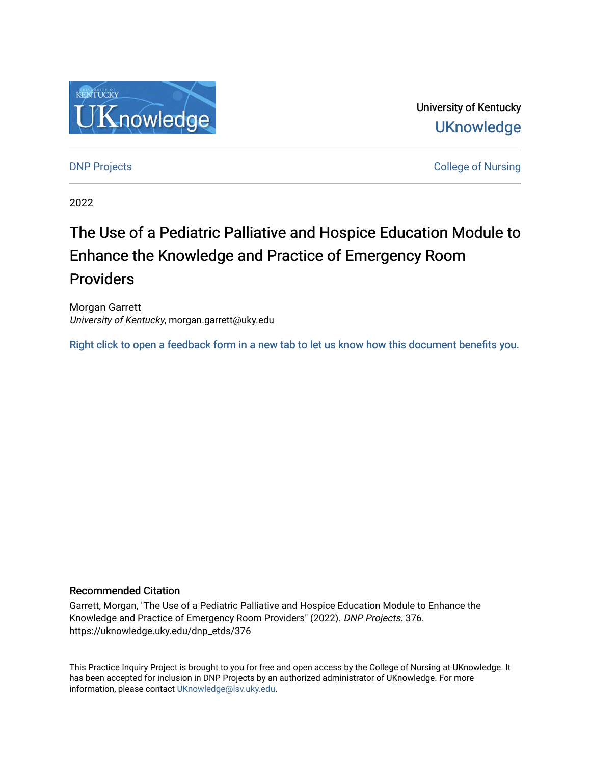

University of Kentucky **UKnowledge** 

[DNP Projects](https://uknowledge.uky.edu/dnp_etds) **College of Nursing** 

2022

# The Use of a Pediatric Palliative and Hospice Education Module to Enhance the Knowledge and Practice of Emergency Room Providers

Morgan Garrett University of Kentucky, morgan.garrett@uky.edu

[Right click to open a feedback form in a new tab to let us know how this document benefits you.](https://uky.az1.qualtrics.com/jfe/form/SV_9mq8fx2GnONRfz7)

#### Recommended Citation

Garrett, Morgan, "The Use of a Pediatric Palliative and Hospice Education Module to Enhance the Knowledge and Practice of Emergency Room Providers" (2022). DNP Projects. 376. https://uknowledge.uky.edu/dnp\_etds/376

This Practice Inquiry Project is brought to you for free and open access by the College of Nursing at UKnowledge. It has been accepted for inclusion in DNP Projects by an authorized administrator of UKnowledge. For more information, please contact [UKnowledge@lsv.uky.edu](mailto:UKnowledge@lsv.uky.edu).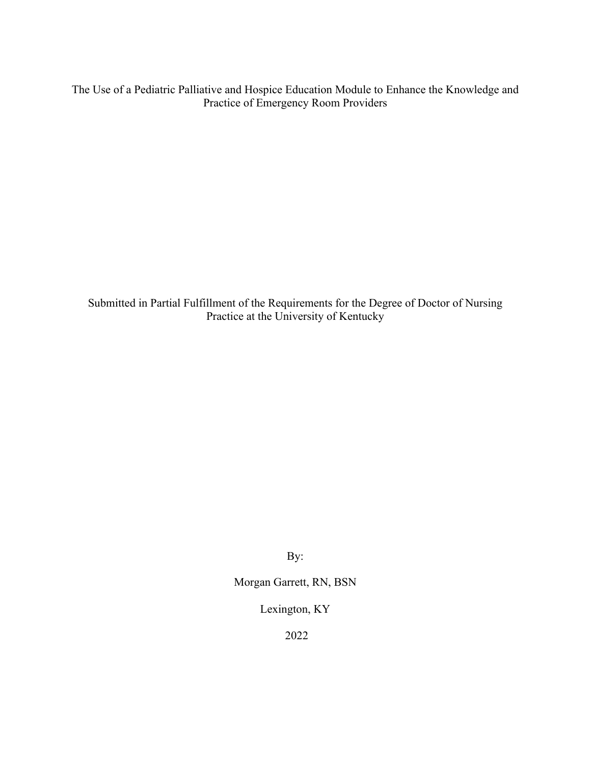The Use of a Pediatric Palliative and Hospice Education Module to Enhance the Knowledge and Practice of Emergency Room Providers

Submitted in Partial Fulfillment of the Requirements for the Degree of Doctor of Nursing Practice at the University of Kentucky

By:

Morgan Garrett, RN, BSN

Lexington, KY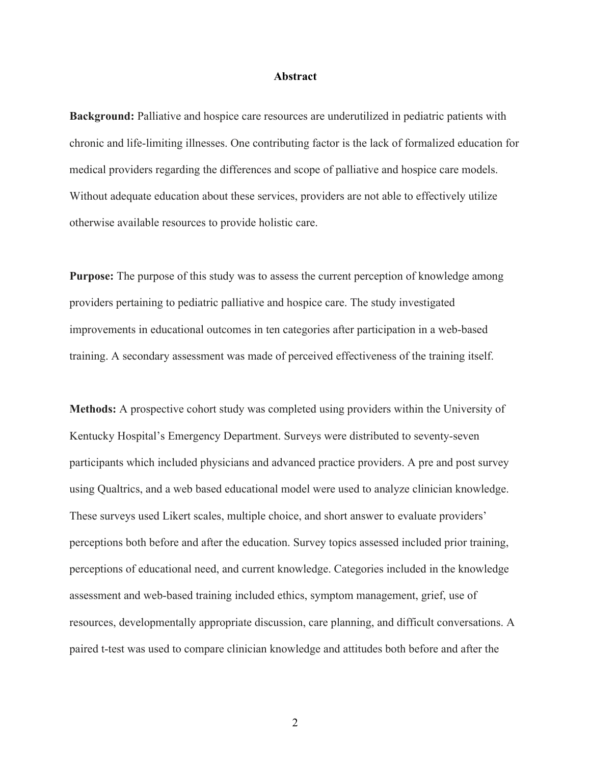#### **Abstract**

**Background:** Palliative and hospice care resources are underutilized in pediatric patients with chronic and life-limiting illnesses. One contributing factor is the lack of formalized education for medical providers regarding the differences and scope of palliative and hospice care models. Without adequate education about these services, providers are not able to effectively utilize otherwise available resources to provide holistic care.

**Purpose:** The purpose of this study was to assess the current perception of knowledge among providers pertaining to pediatric palliative and hospice care. The study investigated improvements in educational outcomes in ten categories after participation in a web-based training. A secondary assessment was made of perceived effectiveness of the training itself.

**Methods:** A prospective cohort study was completed using providers within the University of Kentucky Hospital's Emergency Department. Surveys were distributed to seventy-seven participants which included physicians and advanced practice providers. A pre and post survey using Qualtrics, and a web based educational model were used to analyze clinician knowledge. These surveys used Likert scales, multiple choice, and short answer to evaluate providers' perceptions both before and after the education. Survey topics assessed included prior training, perceptions of educational need, and current knowledge. Categories included in the knowledge assessment and web-based training included ethics, symptom management, grief, use of resources, developmentally appropriate discussion, care planning, and difficult conversations. A paired t-test was used to compare clinician knowledge and attitudes both before and after the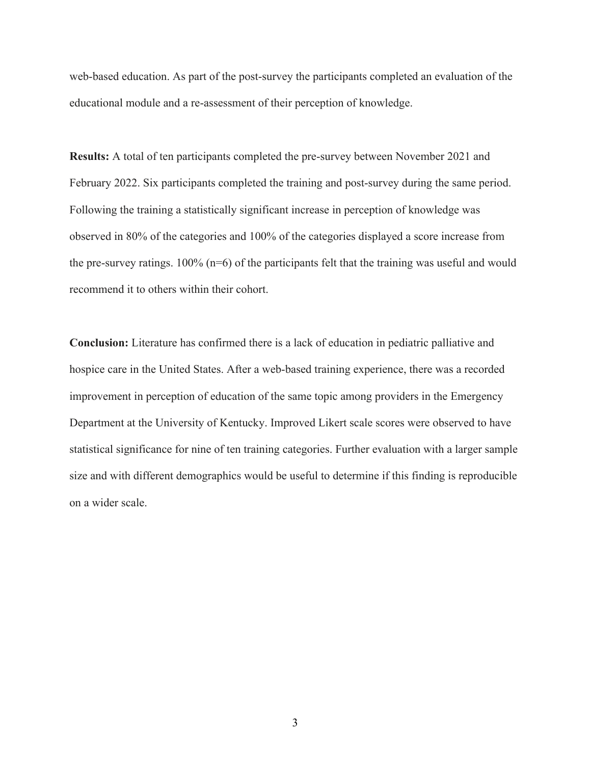web-based education. As part of the post-survey the participants completed an evaluation of the educational module and a re-assessment of their perception of knowledge.

**Results:** A total of ten participants completed the pre-survey between November 2021 and February 2022. Six participants completed the training and post-survey during the same period. Following the training a statistically significant increase in perception of knowledge was observed in 80% of the categories and 100% of the categories displayed a score increase from the pre-survey ratings.  $100\%$  (n=6) of the participants felt that the training was useful and would recommend it to others within their cohort.

**Conclusion:** Literature has confirmed there is a lack of education in pediatric palliative and hospice care in the United States. After a web-based training experience, there was a recorded improvement in perception of education of the same topic among providers in the Emergency Department at the University of Kentucky. Improved Likert scale scores were observed to have statistical significance for nine of ten training categories. Further evaluation with a larger sample size and with different demographics would be useful to determine if this finding is reproducible on a wider scale.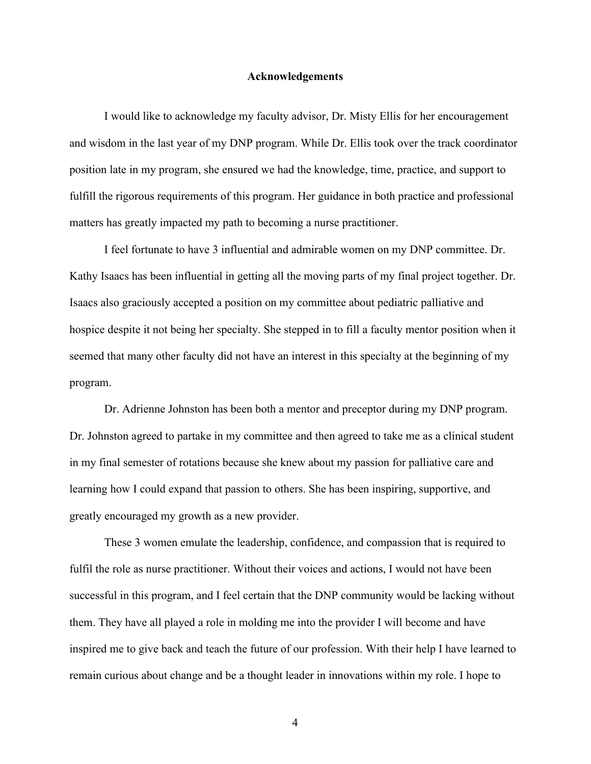#### **Acknowledgements**

I would like to acknowledge my faculty advisor, Dr. Misty Ellis for her encouragement and wisdom in the last year of my DNP program. While Dr. Ellis took over the track coordinator position late in my program, she ensured we had the knowledge, time, practice, and support to fulfill the rigorous requirements of this program. Her guidance in both practice and professional matters has greatly impacted my path to becoming a nurse practitioner.

I feel fortunate to have 3 influential and admirable women on my DNP committee. Dr. Kathy Isaacs has been influential in getting all the moving parts of my final project together. Dr. Isaacs also graciously accepted a position on my committee about pediatric palliative and hospice despite it not being her specialty. She stepped in to fill a faculty mentor position when it seemed that many other faculty did not have an interest in this specialty at the beginning of my program.

Dr. Adrienne Johnston has been both a mentor and preceptor during my DNP program. Dr. Johnston agreed to partake in my committee and then agreed to take me as a clinical student in my final semester of rotations because she knew about my passion for palliative care and learning how I could expand that passion to others. She has been inspiring, supportive, and greatly encouraged my growth as a new provider.

These 3 women emulate the leadership, confidence, and compassion that is required to fulfil the role as nurse practitioner. Without their voices and actions, I would not have been successful in this program, and I feel certain that the DNP community would be lacking without them. They have all played a role in molding me into the provider I will become and have inspired me to give back and teach the future of our profession. With their help I have learned to remain curious about change and be a thought leader in innovations within my role. I hope to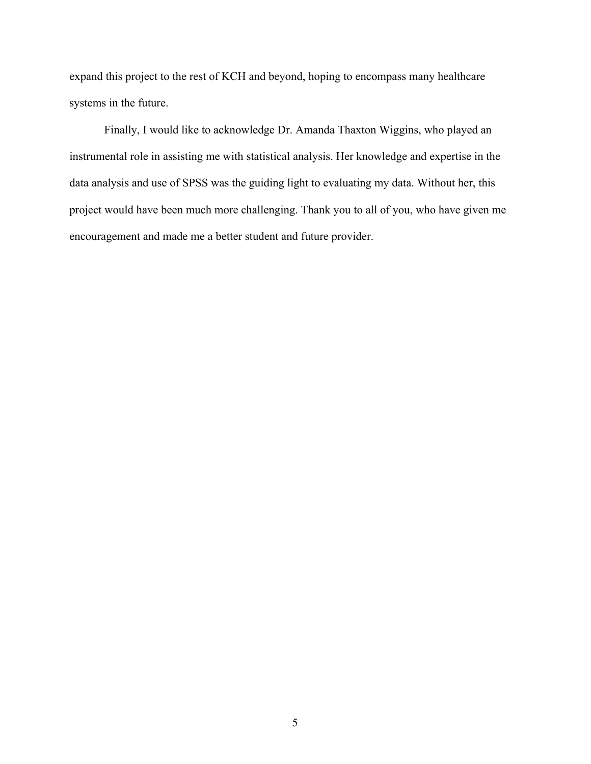expand this project to the rest of KCH and beyond, hoping to encompass many healthcare systems in the future.

Finally, I would like to acknowledge Dr. Amanda Thaxton Wiggins, who played an instrumental role in assisting me with statistical analysis. Her knowledge and expertise in the data analysis and use of SPSS was the guiding light to evaluating my data. Without her, this project would have been much more challenging. Thank you to all of you, who have given me encouragement and made me a better student and future provider.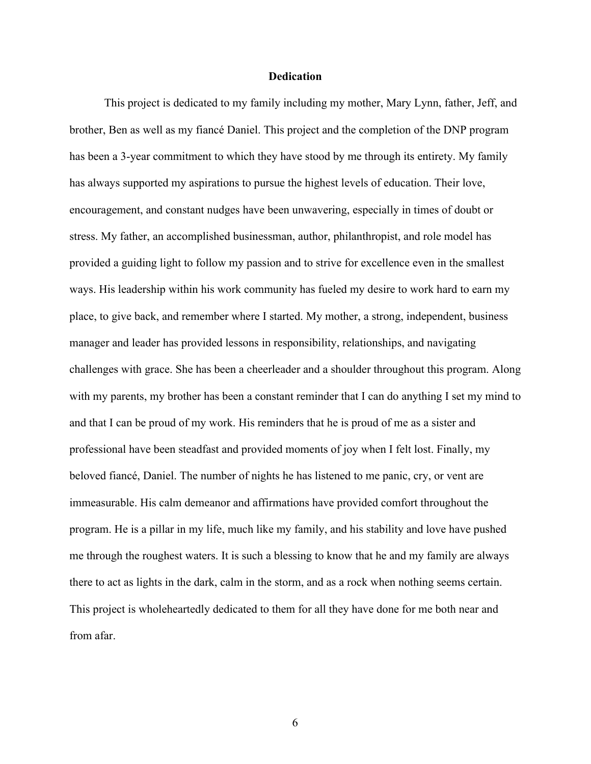#### **Dedication**

This project is dedicated to my family including my mother, Mary Lynn, father, Jeff, and brother, Ben as well as my fiancé Daniel. This project and the completion of the DNP program has been a 3-year commitment to which they have stood by me through its entirety. My family has always supported my aspirations to pursue the highest levels of education. Their love, encouragement, and constant nudges have been unwavering, especially in times of doubt or stress. My father, an accomplished businessman, author, philanthropist, and role model has provided a guiding light to follow my passion and to strive for excellence even in the smallest ways. His leadership within his work community has fueled my desire to work hard to earn my place, to give back, and remember where I started. My mother, a strong, independent, business manager and leader has provided lessons in responsibility, relationships, and navigating challenges with grace. She has been a cheerleader and a shoulder throughout this program. Along with my parents, my brother has been a constant reminder that I can do anything I set my mind to and that I can be proud of my work. His reminders that he is proud of me as a sister and professional have been steadfast and provided moments of joy when I felt lost. Finally, my beloved fiancé, Daniel. The number of nights he has listened to me panic, cry, or vent are immeasurable. His calm demeanor and affirmations have provided comfort throughout the program. He is a pillar in my life, much like my family, and his stability and love have pushed me through the roughest waters. It is such a blessing to know that he and my family are always there to act as lights in the dark, calm in the storm, and as a rock when nothing seems certain. This project is wholeheartedly dedicated to them for all they have done for me both near and from afar.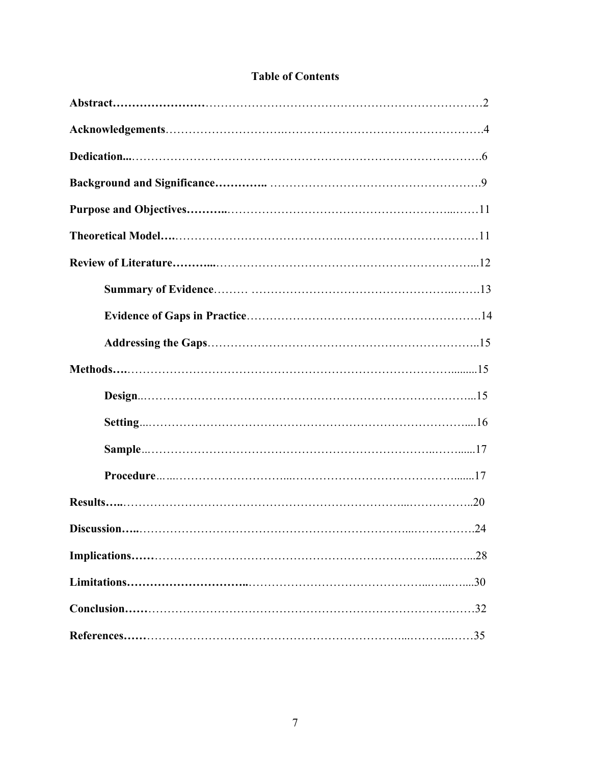| <b>Table of Contents</b> |
|--------------------------|
|--------------------------|

| $\dots$ 24 |
|------------|
|            |
|            |
|            |
|            |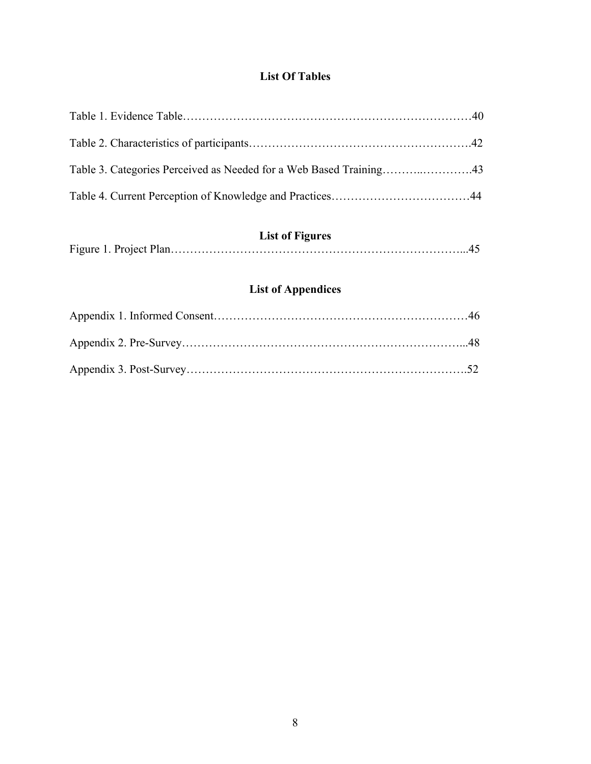# **List Of Tables**

# **List of Figures**

|--|--|--|--|--|--|

# **List of Appendices**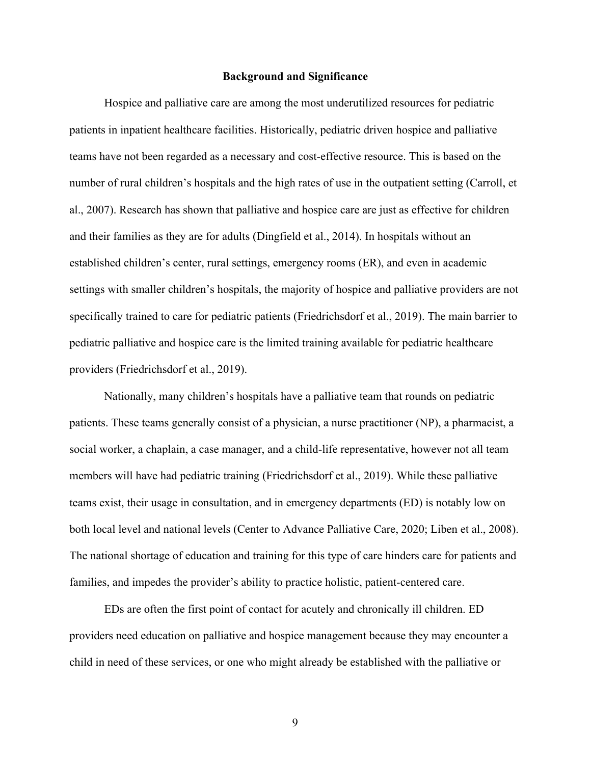#### **Background and Significance**

Hospice and palliative care are among the most underutilized resources for pediatric patients in inpatient healthcare facilities. Historically, pediatric driven hospice and palliative teams have not been regarded as a necessary and cost-effective resource. This is based on the number of rural children's hospitals and the high rates of use in the outpatient setting (Carroll, et al., 2007). Research has shown that palliative and hospice care are just as effective for children and their families as they are for adults (Dingfield et al., 2014). In hospitals without an established children's center, rural settings, emergency rooms (ER), and even in academic settings with smaller children's hospitals, the majority of hospice and palliative providers are not specifically trained to care for pediatric patients (Friedrichsdorf et al., 2019). The main barrier to pediatric palliative and hospice care is the limited training available for pediatric healthcare providers (Friedrichsdorf et al., 2019).

Nationally, many children's hospitals have a palliative team that rounds on pediatric patients. These teams generally consist of a physician, a nurse practitioner (NP), a pharmacist, a social worker, a chaplain, a case manager, and a child-life representative, however not all team members will have had pediatric training (Friedrichsdorf et al., 2019). While these palliative teams exist, their usage in consultation, and in emergency departments (ED) is notably low on both local level and national levels (Center to Advance Palliative Care, 2020; Liben et al., 2008). The national shortage of education and training for this type of care hinders care for patients and families, and impedes the provider's ability to practice holistic, patient-centered care.

EDs are often the first point of contact for acutely and chronically ill children. ED providers need education on palliative and hospice management because they may encounter a child in need of these services, or one who might already be established with the palliative or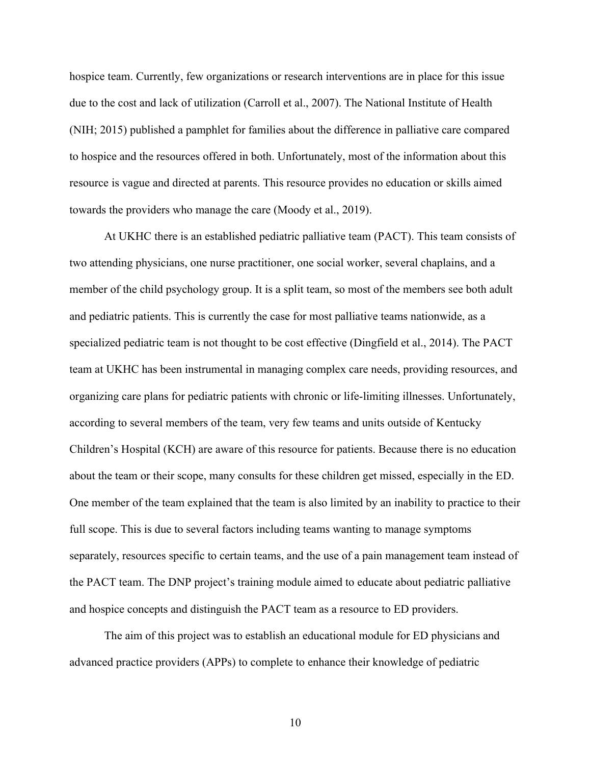hospice team. Currently, few organizations or research interventions are in place for this issue due to the cost and lack of utilization (Carroll et al., 2007). The National Institute of Health (NIH; 2015) published a pamphlet for families about the difference in palliative care compared to hospice and the resources offered in both. Unfortunately, most of the information about this resource is vague and directed at parents. This resource provides no education or skills aimed towards the providers who manage the care (Moody et al., 2019).

At UKHC there is an established pediatric palliative team (PACT). This team consists of two attending physicians, one nurse practitioner, one social worker, several chaplains, and a member of the child psychology group. It is a split team, so most of the members see both adult and pediatric patients. This is currently the case for most palliative teams nationwide, as a specialized pediatric team is not thought to be cost effective (Dingfield et al., 2014). The PACT team at UKHC has been instrumental in managing complex care needs, providing resources, and organizing care plans for pediatric patients with chronic or life-limiting illnesses. Unfortunately, according to several members of the team, very few teams and units outside of Kentucky Children's Hospital (KCH) are aware of this resource for patients. Because there is no education about the team or their scope, many consults for these children get missed, especially in the ED. One member of the team explained that the team is also limited by an inability to practice to their full scope. This is due to several factors including teams wanting to manage symptoms separately, resources specific to certain teams, and the use of a pain management team instead of the PACT team. The DNP project's training module aimed to educate about pediatric palliative and hospice concepts and distinguish the PACT team as a resource to ED providers.

The aim of this project was to establish an educational module for ED physicians and advanced practice providers (APPs) to complete to enhance their knowledge of pediatric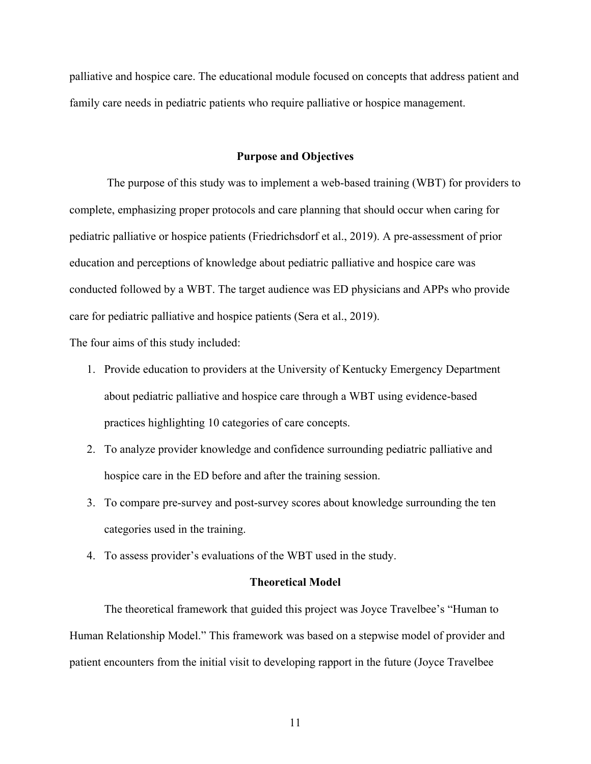palliative and hospice care. The educational module focused on concepts that address patient and family care needs in pediatric patients who require palliative or hospice management.

#### **Purpose and Objectives**

The purpose of this study was to implement a web-based training (WBT) for providers to complete, emphasizing proper protocols and care planning that should occur when caring for pediatric palliative or hospice patients (Friedrichsdorf et al., 2019). A pre-assessment of prior education and perceptions of knowledge about pediatric palliative and hospice care was conducted followed by a WBT. The target audience was ED physicians and APPs who provide care for pediatric palliative and hospice patients (Sera et al., 2019).

The four aims of this study included:

- 1. Provide education to providers at the University of Kentucky Emergency Department about pediatric palliative and hospice care through a WBT using evidence-based practices highlighting 10 categories of care concepts.
- 2. To analyze provider knowledge and confidence surrounding pediatric palliative and hospice care in the ED before and after the training session.
- 3. To compare pre-survey and post-survey scores about knowledge surrounding the ten categories used in the training.
- 4. To assess provider's evaluations of the WBT used in the study.

#### **Theoretical Model**

The theoretical framework that guided this project was Joyce Travelbee's "Human to Human Relationship Model." This framework was based on a stepwise model of provider and patient encounters from the initial visit to developing rapport in the future (Joyce Travelbee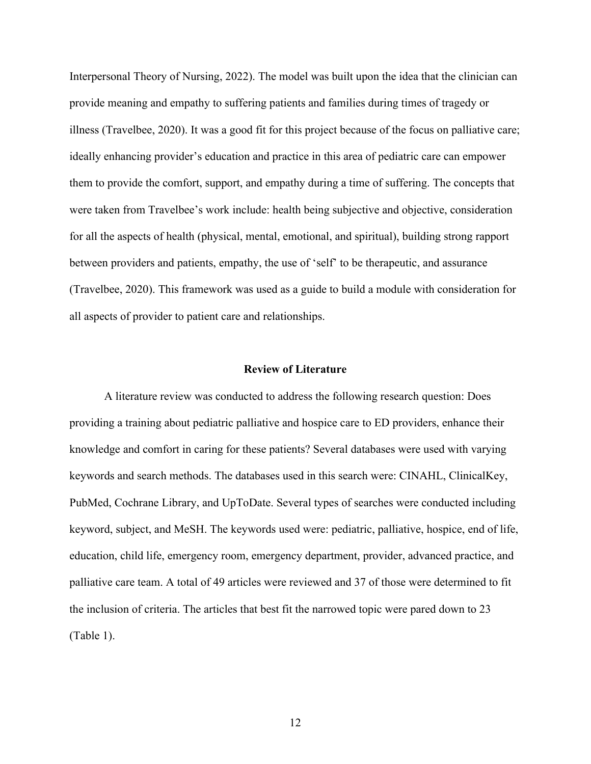Interpersonal Theory of Nursing, 2022). The model was built upon the idea that the clinician can provide meaning and empathy to suffering patients and families during times of tragedy or illness (Travelbee, 2020). It was a good fit for this project because of the focus on palliative care; ideally enhancing provider's education and practice in this area of pediatric care can empower them to provide the comfort, support, and empathy during a time of suffering. The concepts that were taken from Travelbee's work include: health being subjective and objective, consideration for all the aspects of health (physical, mental, emotional, and spiritual), building strong rapport between providers and patients, empathy, the use of 'self' to be therapeutic, and assurance (Travelbee, 2020). This framework was used as a guide to build a module with consideration for all aspects of provider to patient care and relationships.

#### **Review of Literature**

A literature review was conducted to address the following research question: Does providing a training about pediatric palliative and hospice care to ED providers, enhance their knowledge and comfort in caring for these patients? Several databases were used with varying keywords and search methods. The databases used in this search were: CINAHL, ClinicalKey, PubMed, Cochrane Library, and UpToDate. Several types of searches were conducted including keyword, subject, and MeSH. The keywords used were: pediatric, palliative, hospice, end of life, education, child life, emergency room, emergency department, provider, advanced practice, and palliative care team. A total of 49 articles were reviewed and 37 of those were determined to fit the inclusion of criteria. The articles that best fit the narrowed topic were pared down to 23 (Table 1).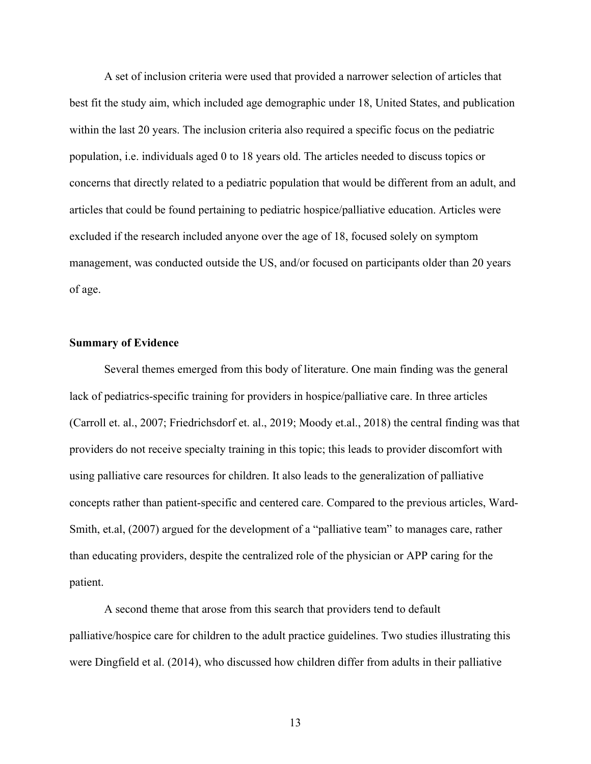A set of inclusion criteria were used that provided a narrower selection of articles that best fit the study aim, which included age demographic under 18, United States, and publication within the last 20 years. The inclusion criteria also required a specific focus on the pediatric population, i.e. individuals aged 0 to 18 years old. The articles needed to discuss topics or concerns that directly related to a pediatric population that would be different from an adult, and articles that could be found pertaining to pediatric hospice/palliative education. Articles were excluded if the research included anyone over the age of 18, focused solely on symptom management, was conducted outside the US, and/or focused on participants older than 20 years of age.

#### **Summary of Evidence**

Several themes emerged from this body of literature. One main finding was the general lack of pediatrics-specific training for providers in hospice/palliative care. In three articles (Carroll et. al., 2007; Friedrichsdorf et. al., 2019; Moody et.al., 2018) the central finding was that providers do not receive specialty training in this topic; this leads to provider discomfort with using palliative care resources for children. It also leads to the generalization of palliative concepts rather than patient-specific and centered care. Compared to the previous articles, Ward-Smith, et.al, (2007) argued for the development of a "palliative team" to manages care, rather than educating providers, despite the centralized role of the physician or APP caring for the patient.

A second theme that arose from this search that providers tend to default palliative/hospice care for children to the adult practice guidelines. Two studies illustrating this were Dingfield et al. (2014), who discussed how children differ from adults in their palliative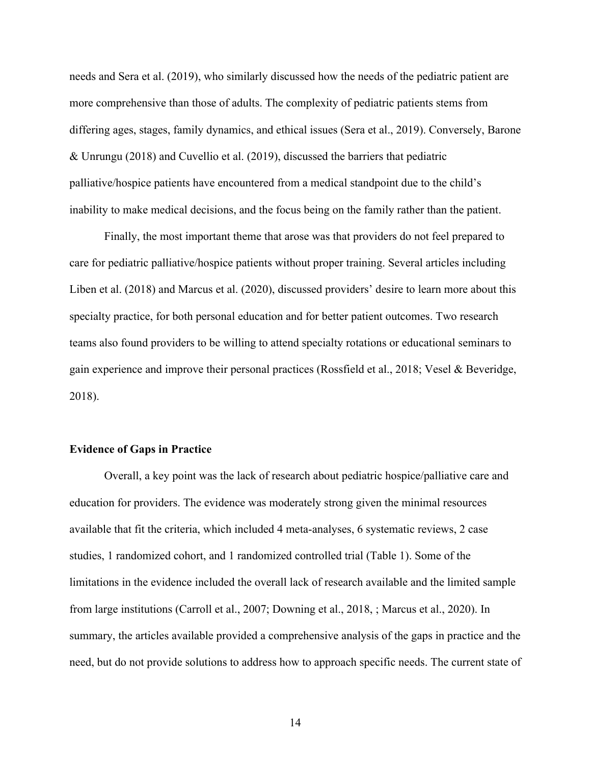needs and Sera et al. (2019), who similarly discussed how the needs of the pediatric patient are more comprehensive than those of adults. The complexity of pediatric patients stems from differing ages, stages, family dynamics, and ethical issues (Sera et al., 2019). Conversely, Barone & Unrungu (2018) and Cuvellio et al. (2019), discussed the barriers that pediatric palliative/hospice patients have encountered from a medical standpoint due to the child's inability to make medical decisions, and the focus being on the family rather than the patient.

Finally, the most important theme that arose was that providers do not feel prepared to care for pediatric palliative/hospice patients without proper training. Several articles including Liben et al. (2018) and Marcus et al. (2020), discussed providers' desire to learn more about this specialty practice, for both personal education and for better patient outcomes. Two research teams also found providers to be willing to attend specialty rotations or educational seminars to gain experience and improve their personal practices (Rossfield et al., 2018; Vesel & Beveridge, 2018).

#### **Evidence of Gaps in Practice**

Overall, a key point was the lack of research about pediatric hospice/palliative care and education for providers. The evidence was moderately strong given the minimal resources available that fit the criteria, which included 4 meta-analyses, 6 systematic reviews, 2 case studies, 1 randomized cohort, and 1 randomized controlled trial (Table 1). Some of the limitations in the evidence included the overall lack of research available and the limited sample from large institutions (Carroll et al., 2007; Downing et al., 2018, ; Marcus et al., 2020). In summary, the articles available provided a comprehensive analysis of the gaps in practice and the need, but do not provide solutions to address how to approach specific needs. The current state of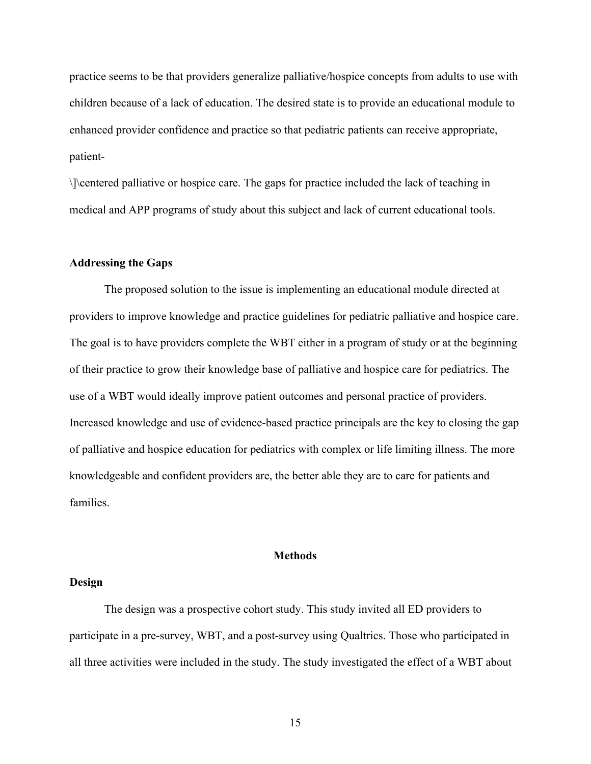practice seems to be that providers generalize palliative/hospice concepts from adults to use with children because of a lack of education. The desired state is to provide an educational module to enhanced provider confidence and practice so that pediatric patients can receive appropriate, patient-

\]\centered palliative or hospice care. The gaps for practice included the lack of teaching in medical and APP programs of study about this subject and lack of current educational tools.

#### **Addressing the Gaps**

The proposed solution to the issue is implementing an educational module directed at providers to improve knowledge and practice guidelines for pediatric palliative and hospice care. The goal is to have providers complete the WBT either in a program of study or at the beginning of their practice to grow their knowledge base of palliative and hospice care for pediatrics. The use of a WBT would ideally improve patient outcomes and personal practice of providers. Increased knowledge and use of evidence-based practice principals are the key to closing the gap of palliative and hospice education for pediatrics with complex or life limiting illness. The more knowledgeable and confident providers are, the better able they are to care for patients and families.

#### **Methods**

#### **Design**

The design was a prospective cohort study. This study invited all ED providers to participate in a pre-survey, WBT, and a post-survey using Qualtrics. Those who participated in all three activities were included in the study. The study investigated the effect of a WBT about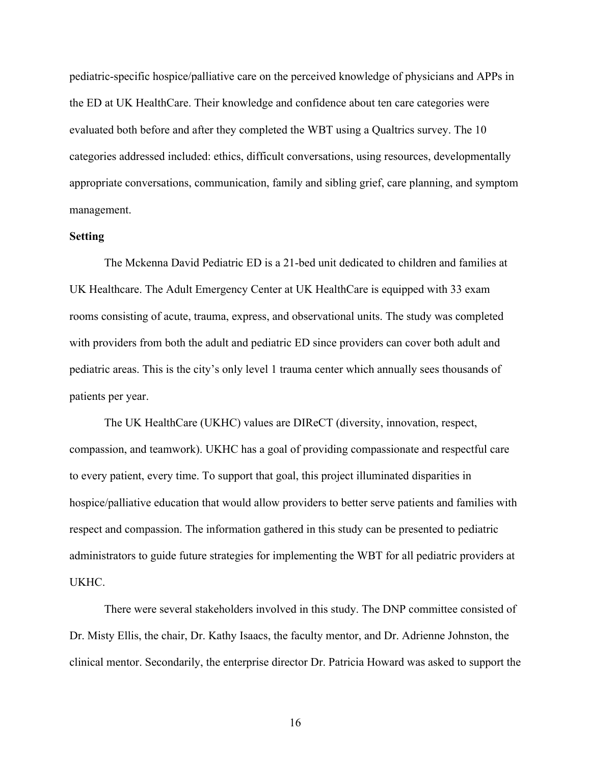pediatric-specific hospice/palliative care on the perceived knowledge of physicians and APPs in the ED at UK HealthCare. Their knowledge and confidence about ten care categories were evaluated both before and after they completed the WBT using a Qualtrics survey. The 10 categories addressed included: ethics, difficult conversations, using resources, developmentally appropriate conversations, communication, family and sibling grief, care planning, and symptom management.

#### **Setting**

The Mckenna David Pediatric ED is a 21-bed unit dedicated to children and families at UK Healthcare. The Adult Emergency Center at UK HealthCare is equipped with 33 exam rooms consisting of acute, trauma, express, and observational units. The study was completed with providers from both the adult and pediatric ED since providers can cover both adult and pediatric areas. This is the city's only level 1 trauma center which annually sees thousands of patients per year.

The UK HealthCare (UKHC) values are DIReCT (diversity, innovation, respect, compassion, and teamwork). UKHC has a goal of providing compassionate and respectful care to every patient, every time. To support that goal, this project illuminated disparities in hospice/palliative education that would allow providers to better serve patients and families with respect and compassion. The information gathered in this study can be presented to pediatric administrators to guide future strategies for implementing the WBT for all pediatric providers at UKHC.

There were several stakeholders involved in this study. The DNP committee consisted of Dr. Misty Ellis, the chair, Dr. Kathy Isaacs, the faculty mentor, and Dr. Adrienne Johnston, the clinical mentor. Secondarily, the enterprise director Dr. Patricia Howard was asked to support the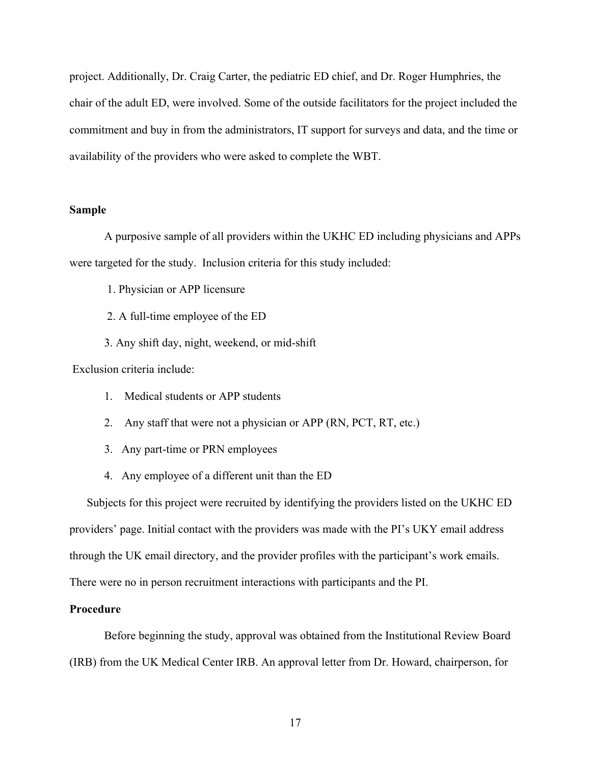project. Additionally, Dr. Craig Carter, the pediatric ED chief, and Dr. Roger Humphries, the chair of the adult ED, were involved. Some of the outside facilitators for the project included the commitment and buy in from the administrators, IT support for surveys and data, and the time or availability of the providers who were asked to complete the WBT.

#### **Sample**

A purposive sample of all providers within the UKHC ED including physicians and APPs were targeted for the study. Inclusion criteria for this study included:

1. Physician or APP licensure

- 2. A full-time employee of the ED
- 3. Any shift day, night, weekend, or mid-shift

Exclusion criteria include:

- 1. Medical students or APP students
- 2. Any staff that were not a physician or APP (RN, PCT, RT, etc.)
- 3. Any part-time or PRN employees
- 4. Any employee of a different unit than the ED

Subjects for this project were recruited by identifying the providers listed on the UKHC ED providers' page. Initial contact with the providers was made with the PI's UKY email address through the UK email directory, and the provider profiles with the participant's work emails. There were no in person recruitment interactions with participants and the PI.

#### **Procedure**

Before beginning the study, approval was obtained from the Institutional Review Board (IRB) from the UK Medical Center IRB. An approval letter from Dr. Howard, chairperson, for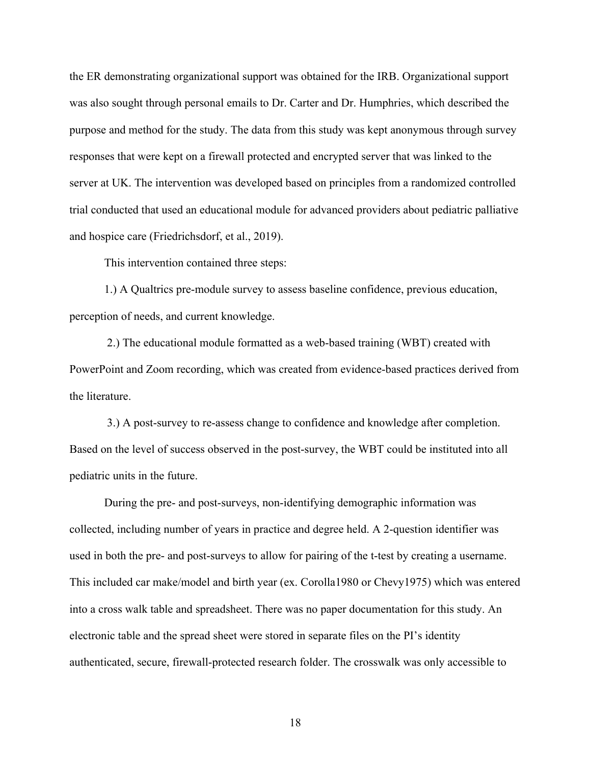the ER demonstrating organizational support was obtained for the IRB. Organizational support was also sought through personal emails to Dr. Carter and Dr. Humphries, which described the purpose and method for the study. The data from this study was kept anonymous through survey responses that were kept on a firewall protected and encrypted server that was linked to the server at UK. The intervention was developed based on principles from a randomized controlled trial conducted that used an educational module for advanced providers about pediatric palliative and hospice care (Friedrichsdorf, et al., 2019).

This intervention contained three steps:

1.) A Qualtrics pre-module survey to assess baseline confidence, previous education, perception of needs, and current knowledge.

2.) The educational module formatted as a web-based training (WBT) created with PowerPoint and Zoom recording, which was created from evidence-based practices derived from the literature.

3.) A post-survey to re-assess change to confidence and knowledge after completion. Based on the level of success observed in the post-survey, the WBT could be instituted into all pediatric units in the future.

During the pre- and post-surveys, non-identifying demographic information was collected, including number of years in practice and degree held. A 2-question identifier was used in both the pre- and post-surveys to allow for pairing of the t-test by creating a username. This included car make/model and birth year (ex. Corolla1980 or Chevy1975) which was entered into a cross walk table and spreadsheet. There was no paper documentation for this study. An electronic table and the spread sheet were stored in separate files on the PI's identity authenticated, secure, firewall-protected research folder. The crosswalk was only accessible to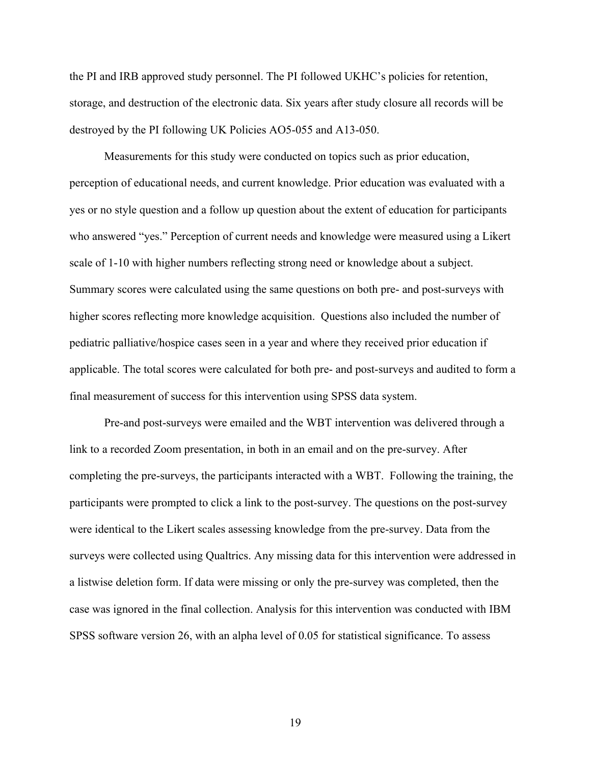the PI and IRB approved study personnel. The PI followed UKHC's policies for retention, storage, and destruction of the electronic data. Six years after study closure all records will be destroyed by the PI following UK Policies AO5-055 and A13-050.

Measurements for this study were conducted on topics such as prior education, perception of educational needs, and current knowledge. Prior education was evaluated with a yes or no style question and a follow up question about the extent of education for participants who answered "yes." Perception of current needs and knowledge were measured using a Likert scale of 1-10 with higher numbers reflecting strong need or knowledge about a subject. Summary scores were calculated using the same questions on both pre- and post-surveys with higher scores reflecting more knowledge acquisition. Questions also included the number of pediatric palliative/hospice cases seen in a year and where they received prior education if applicable. The total scores were calculated for both pre- and post-surveys and audited to form a final measurement of success for this intervention using SPSS data system.

Pre-and post-surveys were emailed and the WBT intervention was delivered through a link to a recorded Zoom presentation, in both in an email and on the pre-survey. After completing the pre-surveys, the participants interacted with a WBT. Following the training, the participants were prompted to click a link to the post-survey. The questions on the post-survey were identical to the Likert scales assessing knowledge from the pre-survey. Data from the surveys were collected using Qualtrics. Any missing data for this intervention were addressed in a listwise deletion form. If data were missing or only the pre-survey was completed, then the case was ignored in the final collection. Analysis for this intervention was conducted with IBM SPSS software version 26, with an alpha level of 0.05 for statistical significance. To assess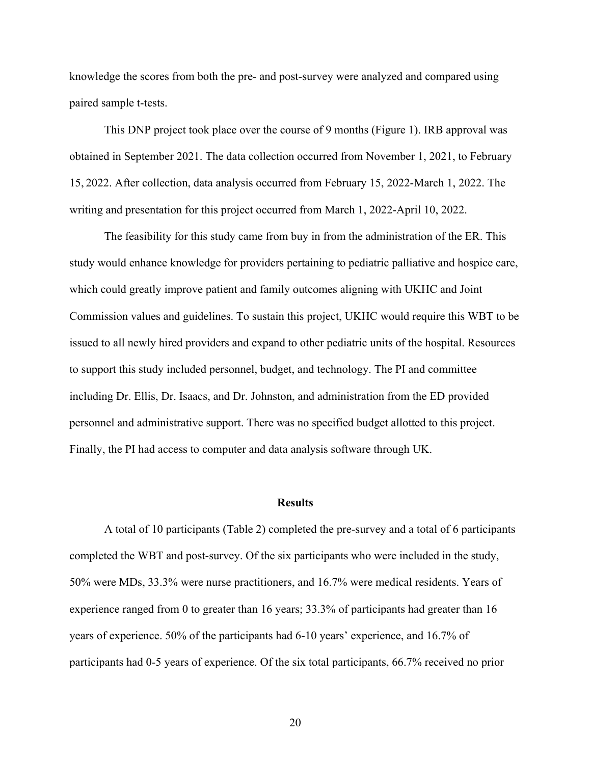knowledge the scores from both the pre- and post-survey were analyzed and compared using paired sample t-tests.

This DNP project took place over the course of 9 months (Figure 1). IRB approval was obtained in September 2021. The data collection occurred from November 1, 2021, to February 15, 2022. After collection, data analysis occurred from February 15, 2022-March 1, 2022. The writing and presentation for this project occurred from March 1, 2022-April 10, 2022.

The feasibility for this study came from buy in from the administration of the ER. This study would enhance knowledge for providers pertaining to pediatric palliative and hospice care, which could greatly improve patient and family outcomes aligning with UKHC and Joint Commission values and guidelines. To sustain this project, UKHC would require this WBT to be issued to all newly hired providers and expand to other pediatric units of the hospital. Resources to support this study included personnel, budget, and technology. The PI and committee including Dr. Ellis, Dr. Isaacs, and Dr. Johnston, and administration from the ED provided personnel and administrative support. There was no specified budget allotted to this project. Finally, the PI had access to computer and data analysis software through UK.

#### **Results**

A total of 10 participants (Table 2) completed the pre-survey and a total of 6 participants completed the WBT and post-survey. Of the six participants who were included in the study, 50% were MDs, 33.3% were nurse practitioners, and 16.7% were medical residents. Years of experience ranged from 0 to greater than 16 years; 33.3% of participants had greater than 16 years of experience. 50% of the participants had 6-10 years' experience, and 16.7% of participants had 0-5 years of experience. Of the six total participants, 66.7% received no prior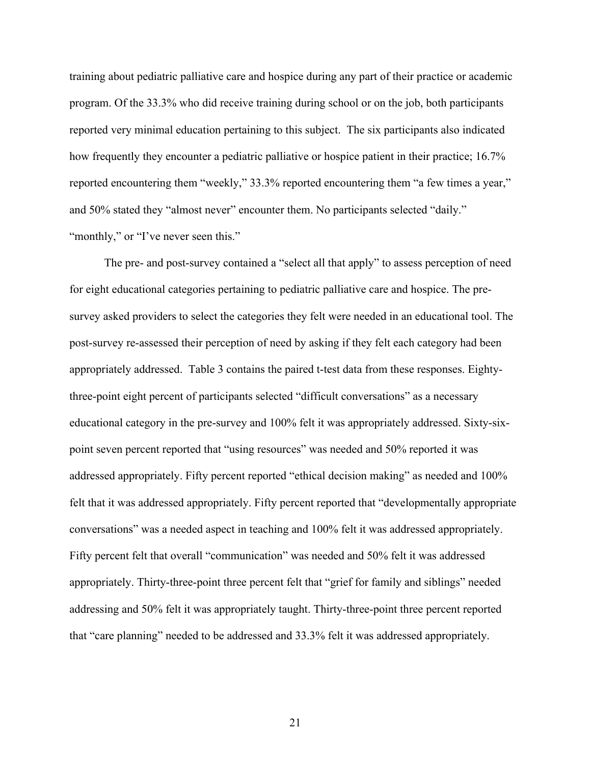training about pediatric palliative care and hospice during any part of their practice or academic program. Of the 33.3% who did receive training during school or on the job, both participants reported very minimal education pertaining to this subject. The six participants also indicated how frequently they encounter a pediatric palliative or hospice patient in their practice; 16.7% reported encountering them "weekly," 33.3% reported encountering them "a few times a year," and 50% stated they "almost never" encounter them. No participants selected "daily." "monthly," or "I've never seen this."

The pre- and post-survey contained a "select all that apply" to assess perception of need for eight educational categories pertaining to pediatric palliative care and hospice. The presurvey asked providers to select the categories they felt were needed in an educational tool. The post-survey re-assessed their perception of need by asking if they felt each category had been appropriately addressed. Table 3 contains the paired t-test data from these responses. Eightythree-point eight percent of participants selected "difficult conversations" as a necessary educational category in the pre-survey and 100% felt it was appropriately addressed. Sixty-sixpoint seven percent reported that "using resources" was needed and 50% reported it was addressed appropriately. Fifty percent reported "ethical decision making" as needed and 100% felt that it was addressed appropriately. Fifty percent reported that "developmentally appropriate conversations" was a needed aspect in teaching and 100% felt it was addressed appropriately. Fifty percent felt that overall "communication" was needed and 50% felt it was addressed appropriately. Thirty-three-point three percent felt that "grief for family and siblings" needed addressing and 50% felt it was appropriately taught. Thirty-three-point three percent reported that "care planning" needed to be addressed and 33.3% felt it was addressed appropriately.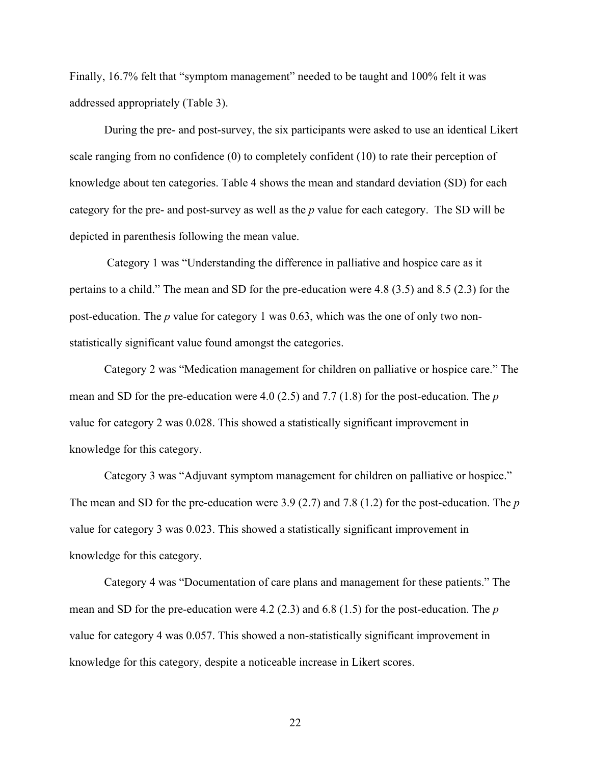Finally, 16.7% felt that "symptom management" needed to be taught and 100% felt it was addressed appropriately (Table 3).

During the pre- and post-survey, the six participants were asked to use an identical Likert scale ranging from no confidence (0) to completely confident (10) to rate their perception of knowledge about ten categories. Table 4 shows the mean and standard deviation (SD) for each category for the pre- and post-survey as well as the *p* value for each category. The SD will be depicted in parenthesis following the mean value.

Category 1 was "Understanding the difference in palliative and hospice care as it pertains to a child." The mean and SD for the pre-education were 4.8 (3.5) and 8.5 (2.3) for the post-education. The *p* value for category 1 was 0.63, which was the one of only two nonstatistically significant value found amongst the categories.

Category 2 was "Medication management for children on palliative or hospice care." The mean and SD for the pre-education were 4.0 (2.5) and 7.7 (1.8) for the post-education. The *p* value for category 2 was 0.028. This showed a statistically significant improvement in knowledge for this category.

Category 3 was "Adjuvant symptom management for children on palliative or hospice." The mean and SD for the pre-education were 3.9 (2.7) and 7.8 (1.2) for the post-education. The *p* value for category 3 was 0.023. This showed a statistically significant improvement in knowledge for this category.

Category 4 was "Documentation of care plans and management for these patients." The mean and SD for the pre-education were 4.2 (2.3) and 6.8 (1.5) for the post-education. The *p* value for category 4 was 0.057. This showed a non-statistically significant improvement in knowledge for this category, despite a noticeable increase in Likert scores.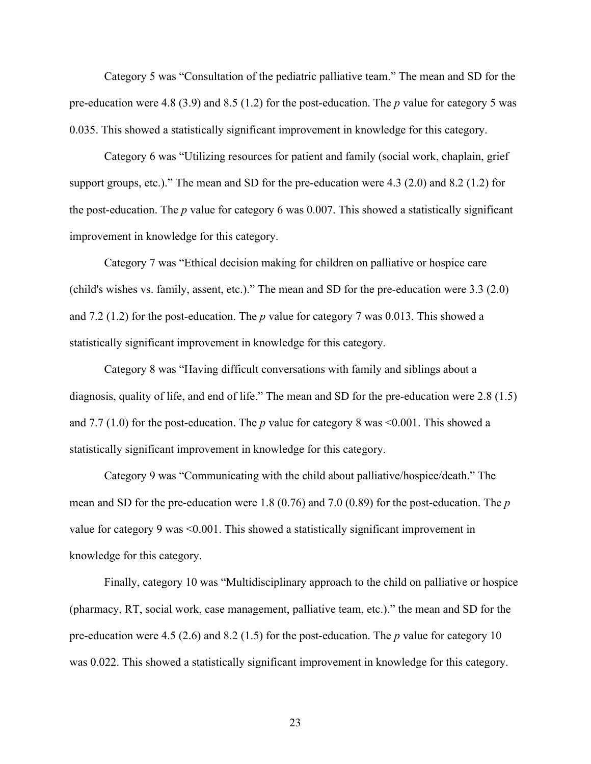Category 5 was "Consultation of the pediatric palliative team." The mean and SD for the pre-education were 4.8 (3.9) and 8.5 (1.2) for the post-education. The *p* value for category 5 was 0.035. This showed a statistically significant improvement in knowledge for this category.

Category 6 was "Utilizing resources for patient and family (social work, chaplain, grief support groups, etc.)." The mean and SD for the pre-education were 4.3 (2.0) and 8.2 (1.2) for the post-education. The *p* value for category 6 was 0.007. This showed a statistically significant improvement in knowledge for this category.

Category 7 was "Ethical decision making for children on palliative or hospice care (child's wishes vs. family, assent, etc.)." The mean and SD for the pre-education were 3.3 (2.0) and 7.2 (1.2) for the post-education. The *p* value for category 7 was 0.013. This showed a statistically significant improvement in knowledge for this category.

Category 8 was "Having difficult conversations with family and siblings about a diagnosis, quality of life, and end of life." The mean and SD for the pre-education were 2.8 (1.5) and 7.7 (1.0) for the post-education. The *p* value for category 8 was <0.001. This showed a statistically significant improvement in knowledge for this category.

Category 9 was "Communicating with the child about palliative/hospice/death." The mean and SD for the pre-education were 1.8 (0.76) and 7.0 (0.89) for the post-education. The *p* value for category 9 was <0.001. This showed a statistically significant improvement in knowledge for this category.

Finally, category 10 was "Multidisciplinary approach to the child on palliative or hospice (pharmacy, RT, social work, case management, palliative team, etc.)." the mean and SD for the pre-education were 4.5 (2.6) and 8.2 (1.5) for the post-education. The *p* value for category 10 was 0.022. This showed a statistically significant improvement in knowledge for this category.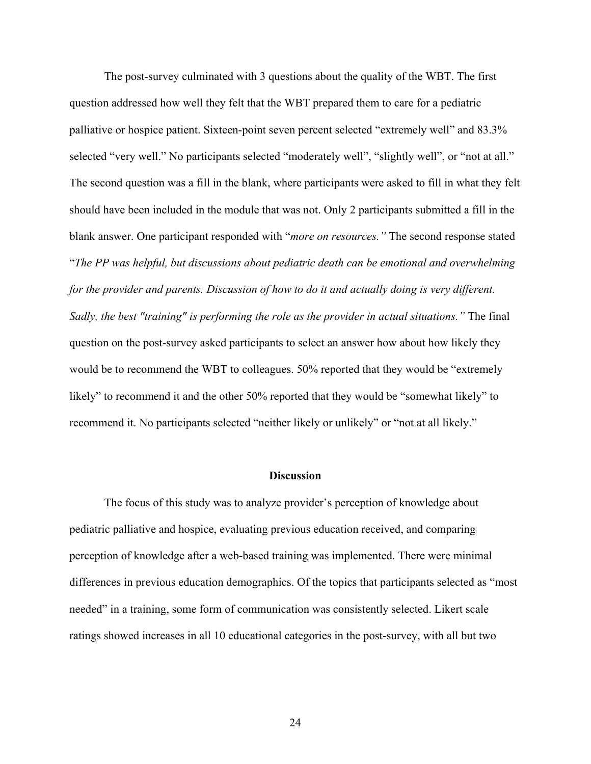The post-survey culminated with 3 questions about the quality of the WBT. The first question addressed how well they felt that the WBT prepared them to care for a pediatric palliative or hospice patient. Sixteen-point seven percent selected "extremely well" and 83.3% selected "very well." No participants selected "moderately well", "slightly well", or "not at all." The second question was a fill in the blank, where participants were asked to fill in what they felt should have been included in the module that was not. Only 2 participants submitted a fill in the blank answer. One participant responded with "*more on resources."* The second response stated "*The PP was helpful, but discussions about pediatric death can be emotional and overwhelming for the provider and parents. Discussion of how to do it and actually doing is very different. Sadly, the best "training" is performing the role as the provider in actual situations."* The final question on the post-survey asked participants to select an answer how about how likely they would be to recommend the WBT to colleagues. 50% reported that they would be "extremely likely" to recommend it and the other 50% reported that they would be "somewhat likely" to recommend it. No participants selected "neither likely or unlikely" or "not at all likely."

#### **Discussion**

The focus of this study was to analyze provider's perception of knowledge about pediatric palliative and hospice, evaluating previous education received, and comparing perception of knowledge after a web-based training was implemented. There were minimal differences in previous education demographics. Of the topics that participants selected as "most needed" in a training, some form of communication was consistently selected. Likert scale ratings showed increases in all 10 educational categories in the post-survey, with all but two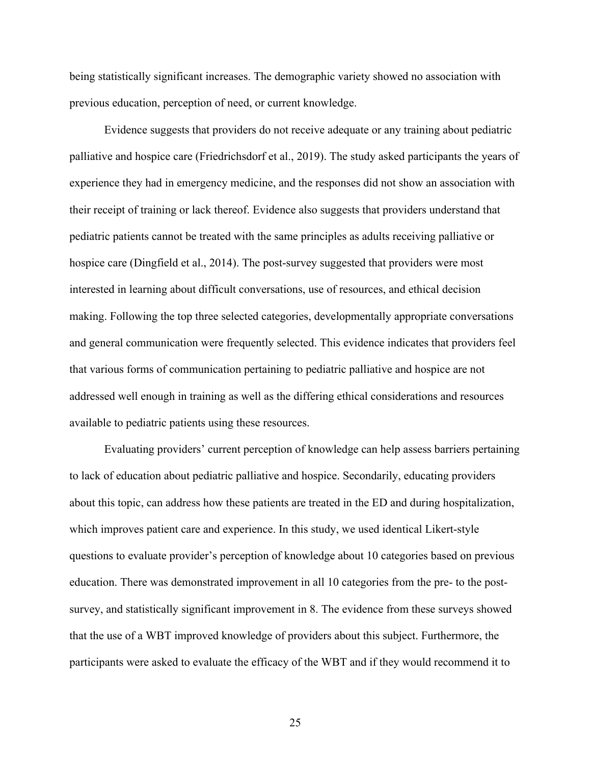being statistically significant increases. The demographic variety showed no association with previous education, perception of need, or current knowledge.

Evidence suggests that providers do not receive adequate or any training about pediatric palliative and hospice care (Friedrichsdorf et al., 2019). The study asked participants the years of experience they had in emergency medicine, and the responses did not show an association with their receipt of training or lack thereof. Evidence also suggests that providers understand that pediatric patients cannot be treated with the same principles as adults receiving palliative or hospice care (Dingfield et al., 2014). The post-survey suggested that providers were most interested in learning about difficult conversations, use of resources, and ethical decision making. Following the top three selected categories, developmentally appropriate conversations and general communication were frequently selected. This evidence indicates that providers feel that various forms of communication pertaining to pediatric palliative and hospice are not addressed well enough in training as well as the differing ethical considerations and resources available to pediatric patients using these resources.

Evaluating providers' current perception of knowledge can help assess barriers pertaining to lack of education about pediatric palliative and hospice. Secondarily, educating providers about this topic, can address how these patients are treated in the ED and during hospitalization, which improves patient care and experience. In this study, we used identical Likert-style questions to evaluate provider's perception of knowledge about 10 categories based on previous education. There was demonstrated improvement in all 10 categories from the pre- to the postsurvey, and statistically significant improvement in 8. The evidence from these surveys showed that the use of a WBT improved knowledge of providers about this subject. Furthermore, the participants were asked to evaluate the efficacy of the WBT and if they would recommend it to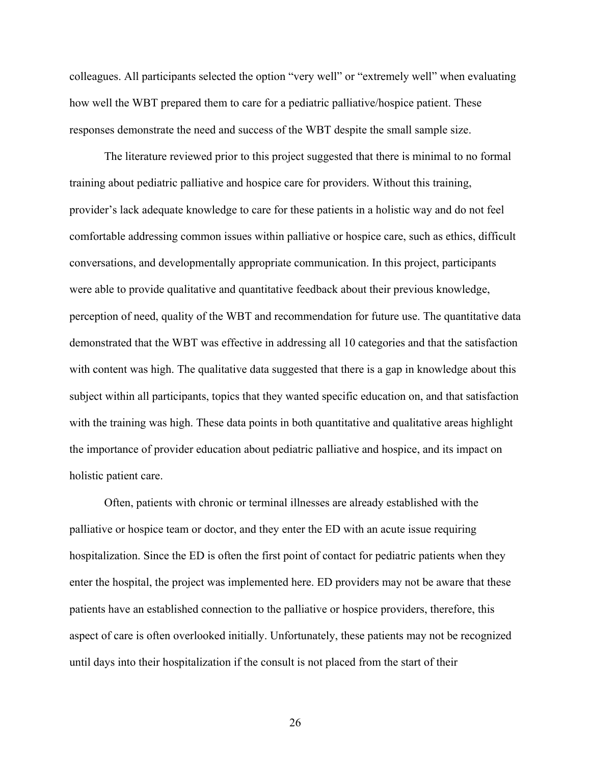colleagues. All participants selected the option "very well" or "extremely well" when evaluating how well the WBT prepared them to care for a pediatric palliative/hospice patient. These responses demonstrate the need and success of the WBT despite the small sample size.

The literature reviewed prior to this project suggested that there is minimal to no formal training about pediatric palliative and hospice care for providers. Without this training, provider's lack adequate knowledge to care for these patients in a holistic way and do not feel comfortable addressing common issues within palliative or hospice care, such as ethics, difficult conversations, and developmentally appropriate communication. In this project, participants were able to provide qualitative and quantitative feedback about their previous knowledge, perception of need, quality of the WBT and recommendation for future use. The quantitative data demonstrated that the WBT was effective in addressing all 10 categories and that the satisfaction with content was high. The qualitative data suggested that there is a gap in knowledge about this subject within all participants, topics that they wanted specific education on, and that satisfaction with the training was high. These data points in both quantitative and qualitative areas highlight the importance of provider education about pediatric palliative and hospice, and its impact on holistic patient care.

Often, patients with chronic or terminal illnesses are already established with the palliative or hospice team or doctor, and they enter the ED with an acute issue requiring hospitalization. Since the ED is often the first point of contact for pediatric patients when they enter the hospital, the project was implemented here. ED providers may not be aware that these patients have an established connection to the palliative or hospice providers, therefore, this aspect of care is often overlooked initially. Unfortunately, these patients may not be recognized until days into their hospitalization if the consult is not placed from the start of their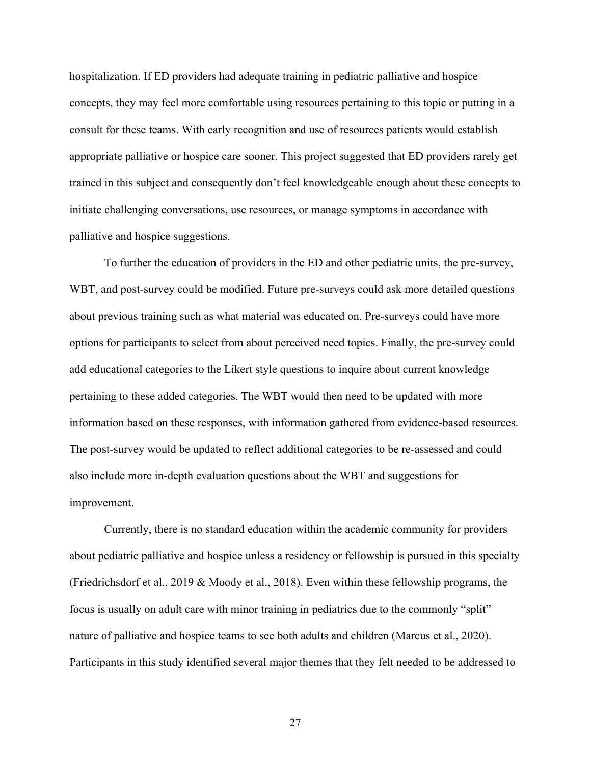hospitalization. If ED providers had adequate training in pediatric palliative and hospice concepts, they may feel more comfortable using resources pertaining to this topic or putting in a consult for these teams. With early recognition and use of resources patients would establish appropriate palliative or hospice care sooner. This project suggested that ED providers rarely get trained in this subject and consequently don't feel knowledgeable enough about these concepts to initiate challenging conversations, use resources, or manage symptoms in accordance with palliative and hospice suggestions.

To further the education of providers in the ED and other pediatric units, the pre-survey, WBT, and post-survey could be modified. Future pre-surveys could ask more detailed questions about previous training such as what material was educated on. Pre-surveys could have more options for participants to select from about perceived need topics. Finally, the pre-survey could add educational categories to the Likert style questions to inquire about current knowledge pertaining to these added categories. The WBT would then need to be updated with more information based on these responses, with information gathered from evidence-based resources. The post-survey would be updated to reflect additional categories to be re-assessed and could also include more in-depth evaluation questions about the WBT and suggestions for improvement.

Currently, there is no standard education within the academic community for providers about pediatric palliative and hospice unless a residency or fellowship is pursued in this specialty (Friedrichsdorf et al., 2019 & Moody et al., 2018). Even within these fellowship programs, the focus is usually on adult care with minor training in pediatrics due to the commonly "split" nature of palliative and hospice teams to see both adults and children (Marcus et al., 2020). Participants in this study identified several major themes that they felt needed to be addressed to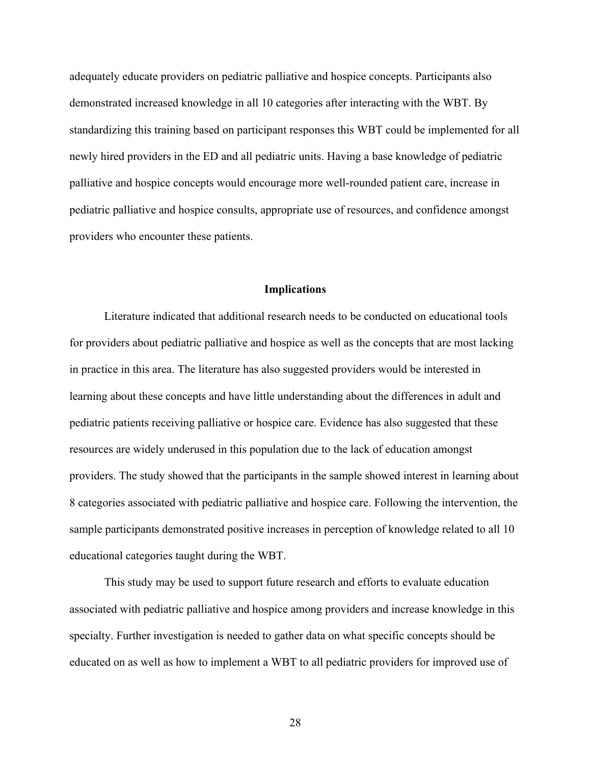adequately educate providers on pediatric palliative and hospice concepts. Participants also demonstrated increased knowledge in all 10 categories after interacting with the WBT. By standardizing this training based on participant responses this WBT could be implemented for all newly hired providers in the ED and all pediatric units. Having a base knowledge of pediatric palliative and hospice concepts would encourage more well-rounded patient care, increase in pediatric palliative and hospice consults, appropriate use of resources, and confidence amongst providers who encounter these patients.

#### **Implications**

Literature indicated that additional research needs to be conducted on educational tools for providers about pediatric palliative and hospice as well as the concepts that are most lacking in practice in this area. The literature has also suggested providers would be interested in learning about these concepts and have little understanding about the differences in adult and pediatric patients receiving palliative or hospice care. Evidence has also suggested that these resources are widely underused in this population due to the lack of education amongst providers. The study showed that the participants in the sample showed interest in learning about 8 categories associated with pediatric palliative and hospice care. Following the intervention, the sample participants demonstrated positive increases in perception of knowledge related to all 10 educational categories taught during the WBT.

This study may be used to support future research and efforts to evaluate education associated with pediatric palliative and hospice among providers and increase knowledge in this specialty. Further investigation is needed to gather data on what specific concepts should be educated on as well as how to implement a WBT to all pediatric providers for improved use of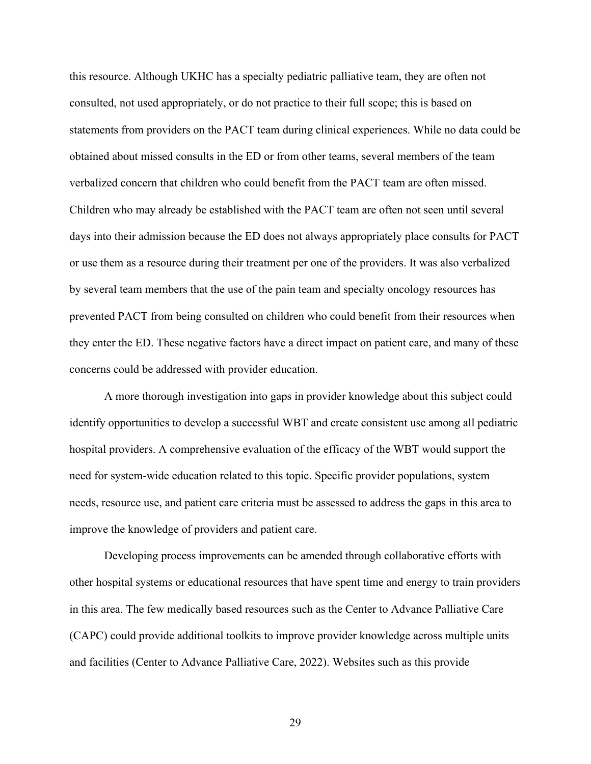this resource. Although UKHC has a specialty pediatric palliative team, they are often not consulted, not used appropriately, or do not practice to their full scope; this is based on statements from providers on the PACT team during clinical experiences. While no data could be obtained about missed consults in the ED or from other teams, several members of the team verbalized concern that children who could benefit from the PACT team are often missed. Children who may already be established with the PACT team are often not seen until several days into their admission because the ED does not always appropriately place consults for PACT or use them as a resource during their treatment per one of the providers. It was also verbalized by several team members that the use of the pain team and specialty oncology resources has prevented PACT from being consulted on children who could benefit from their resources when they enter the ED. These negative factors have a direct impact on patient care, and many of these concerns could be addressed with provider education.

A more thorough investigation into gaps in provider knowledge about this subject could identify opportunities to develop a successful WBT and create consistent use among all pediatric hospital providers. A comprehensive evaluation of the efficacy of the WBT would support the need for system-wide education related to this topic. Specific provider populations, system needs, resource use, and patient care criteria must be assessed to address the gaps in this area to improve the knowledge of providers and patient care.

Developing process improvements can be amended through collaborative efforts with other hospital systems or educational resources that have spent time and energy to train providers in this area. The few medically based resources such as the Center to Advance Palliative Care (CAPC) could provide additional toolkits to improve provider knowledge across multiple units and facilities (Center to Advance Palliative Care, 2022). Websites such as this provide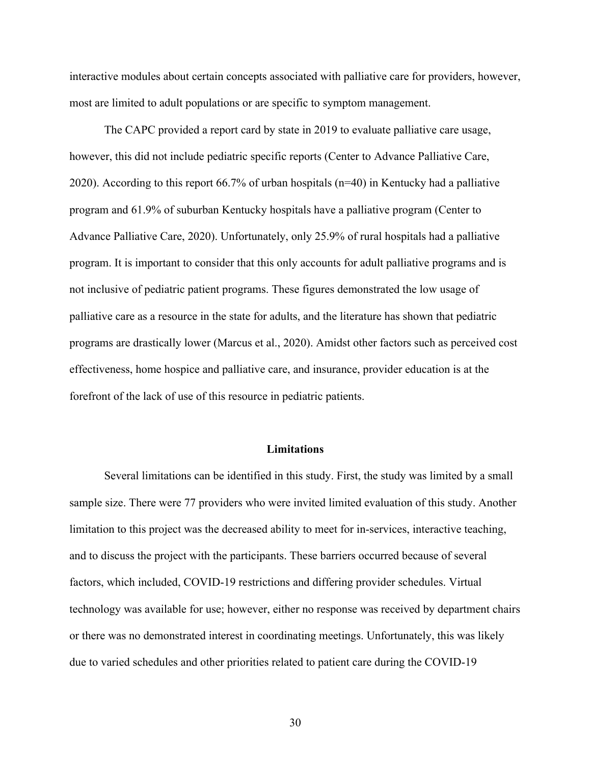interactive modules about certain concepts associated with palliative care for providers, however, most are limited to adult populations or are specific to symptom management.

The CAPC provided a report card by state in 2019 to evaluate palliative care usage, however, this did not include pediatric specific reports (Center to Advance Palliative Care, 2020). According to this report 66.7% of urban hospitals (n=40) in Kentucky had a palliative program and 61.9% of suburban Kentucky hospitals have a palliative program (Center to Advance Palliative Care, 2020). Unfortunately, only 25.9% of rural hospitals had a palliative program. It is important to consider that this only accounts for adult palliative programs and is not inclusive of pediatric patient programs. These figures demonstrated the low usage of palliative care as a resource in the state for adults, and the literature has shown that pediatric programs are drastically lower (Marcus et al., 2020). Amidst other factors such as perceived cost effectiveness, home hospice and palliative care, and insurance, provider education is at the forefront of the lack of use of this resource in pediatric patients.

#### **Limitations**

Several limitations can be identified in this study. First, the study was limited by a small sample size. There were 77 providers who were invited limited evaluation of this study. Another limitation to this project was the decreased ability to meet for in-services, interactive teaching, and to discuss the project with the participants. These barriers occurred because of several factors, which included, COVID-19 restrictions and differing provider schedules. Virtual technology was available for use; however, either no response was received by department chairs or there was no demonstrated interest in coordinating meetings. Unfortunately, this was likely due to varied schedules and other priorities related to patient care during the COVID-19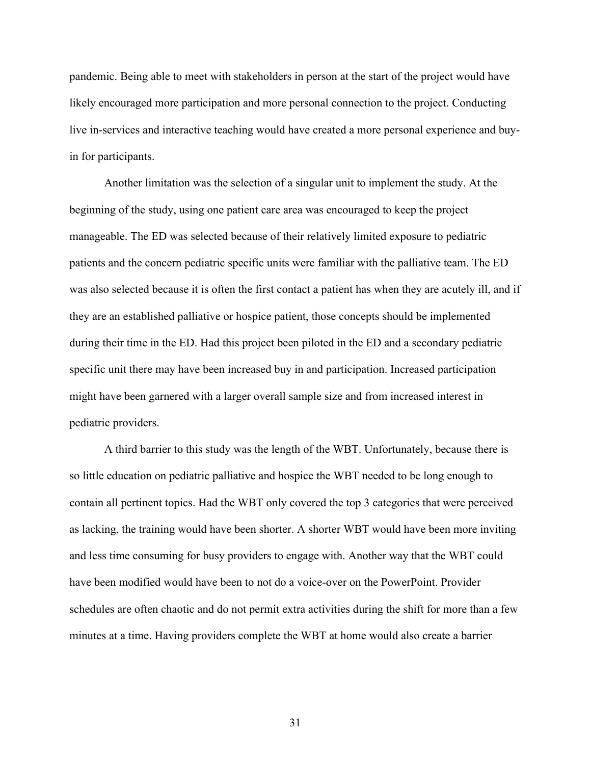pandemic. Being able to meet with stakeholders in person at the start of the project would have likely encouraged more participation and more personal connection to the project. Conducting live in-services and interactive teaching would have created a more personal experience and buyin for participants.

Another limitation was the selection of a singular unit to implement the study. At the beginning of the study, using one patient care area was encouraged to keep the project manageable. The ED was selected because of their relatively limited exposure to pediatric patients and the concern pediatric specific units were familiar with the palliative team. The ED was also selected because it is often the first contact a patient has when they are acutely ill, and if they are an established palliative or hospice patient, those concepts should be implemented during their time in the ED. Had this project been piloted in the ED and a secondary pediatric specific unit there may have been increased buy in and participation. Increased participation might have been garnered with a larger overall sample size and from increased interest in pediatric providers.

A third barrier to this study was the length of the WBT. Unfortunately, because there is so little education on pediatric palliative and hospice the WBT needed to be long enough to contain all pertinent topics. Had the WBT only covered the top 3 categories that were perceived as lacking, the training would have been shorter. A shorter WBT would have been more inviting and less time consuming for busy providers to engage with. Another way that the WBT could have been modified would have been to not do a voice-over on the PowerPoint. Provider schedules are often chaotic and do not permit extra activities during the shift for more than a few minutes at a time. Having providers complete the WBT at home would also create a barrier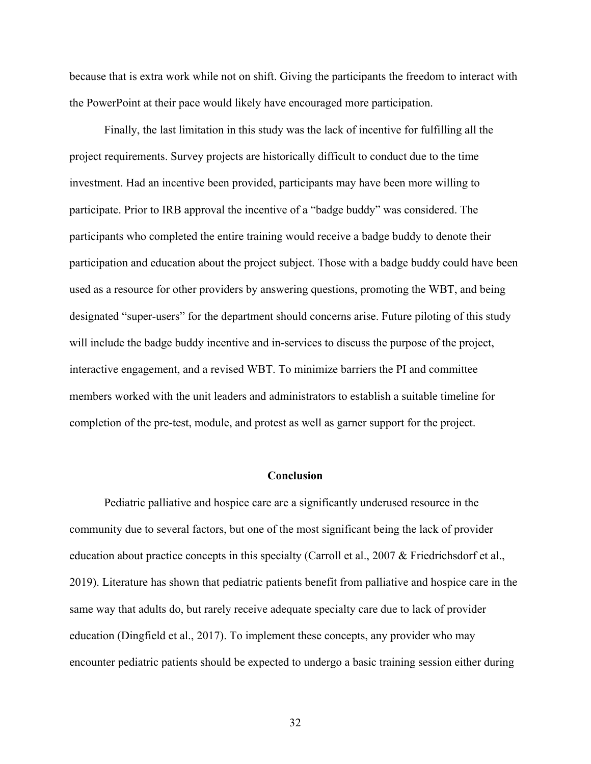because that is extra work while not on shift. Giving the participants the freedom to interact with the PowerPoint at their pace would likely have encouraged more participation.

Finally, the last limitation in this study was the lack of incentive for fulfilling all the project requirements. Survey projects are historically difficult to conduct due to the time investment. Had an incentive been provided, participants may have been more willing to participate. Prior to IRB approval the incentive of a "badge buddy" was considered. The participants who completed the entire training would receive a badge buddy to denote their participation and education about the project subject. Those with a badge buddy could have been used as a resource for other providers by answering questions, promoting the WBT, and being designated "super-users" for the department should concerns arise. Future piloting of this study will include the badge buddy incentive and in-services to discuss the purpose of the project, interactive engagement, and a revised WBT. To minimize barriers the PI and committee members worked with the unit leaders and administrators to establish a suitable timeline for completion of the pre-test, module, and protest as well as garner support for the project.

#### **Conclusion**

Pediatric palliative and hospice care are a significantly underused resource in the community due to several factors, but one of the most significant being the lack of provider education about practice concepts in this specialty (Carroll et al., 2007 & Friedrichsdorf et al., 2019). Literature has shown that pediatric patients benefit from palliative and hospice care in the same way that adults do, but rarely receive adequate specialty care due to lack of provider education (Dingfield et al., 2017). To implement these concepts, any provider who may encounter pediatric patients should be expected to undergo a basic training session either during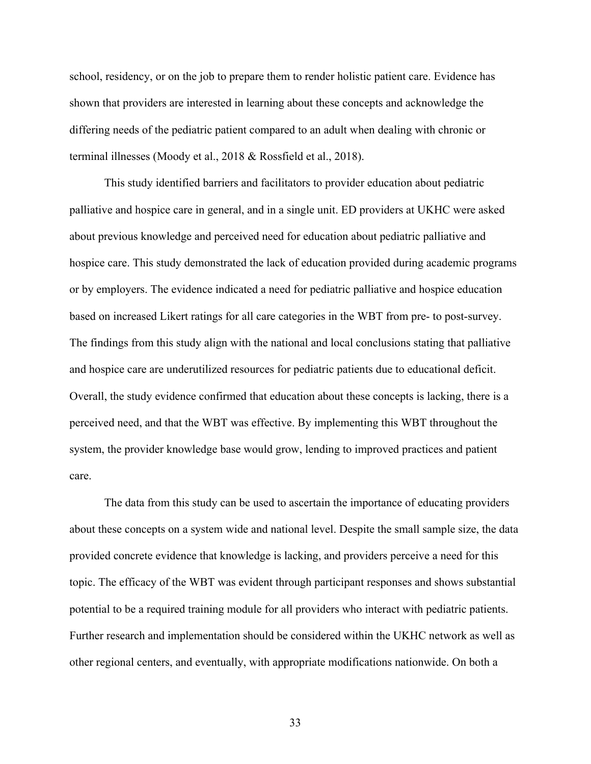school, residency, or on the job to prepare them to render holistic patient care. Evidence has shown that providers are interested in learning about these concepts and acknowledge the differing needs of the pediatric patient compared to an adult when dealing with chronic or terminal illnesses (Moody et al., 2018 & Rossfield et al., 2018).

This study identified barriers and facilitators to provider education about pediatric palliative and hospice care in general, and in a single unit. ED providers at UKHC were asked about previous knowledge and perceived need for education about pediatric palliative and hospice care. This study demonstrated the lack of education provided during academic programs or by employers. The evidence indicated a need for pediatric palliative and hospice education based on increased Likert ratings for all care categories in the WBT from pre- to post-survey. The findings from this study align with the national and local conclusions stating that palliative and hospice care are underutilized resources for pediatric patients due to educational deficit. Overall, the study evidence confirmed that education about these concepts is lacking, there is a perceived need, and that the WBT was effective. By implementing this WBT throughout the system, the provider knowledge base would grow, lending to improved practices and patient care.

The data from this study can be used to ascertain the importance of educating providers about these concepts on a system wide and national level. Despite the small sample size, the data provided concrete evidence that knowledge is lacking, and providers perceive a need for this topic. The efficacy of the WBT was evident through participant responses and shows substantial potential to be a required training module for all providers who interact with pediatric patients. Further research and implementation should be considered within the UKHC network as well as other regional centers, and eventually, with appropriate modifications nationwide. On both a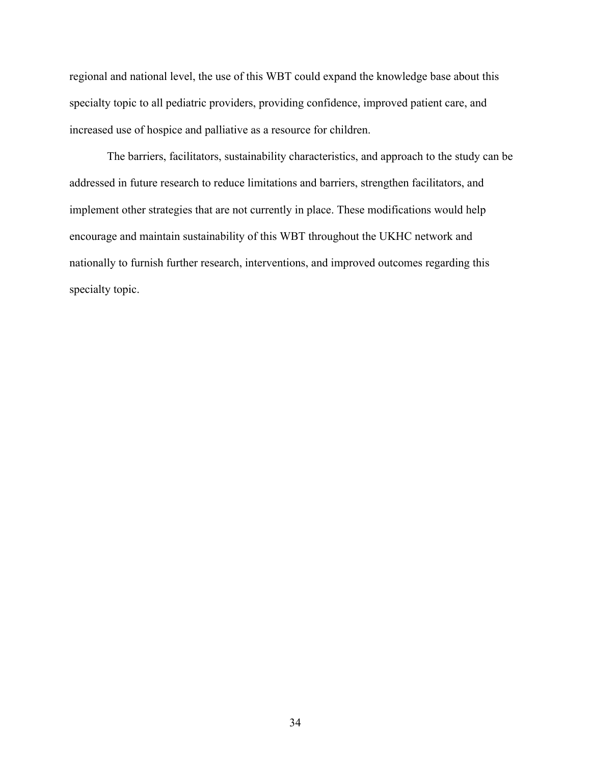regional and national level, the use of this WBT could expand the knowledge base about this specialty topic to all pediatric providers, providing confidence, improved patient care, and increased use of hospice and palliative as a resource for children.

The barriers, facilitators, sustainability characteristics, and approach to the study can be addressed in future research to reduce limitations and barriers, strengthen facilitators, and implement other strategies that are not currently in place. These modifications would help encourage and maintain sustainability of this WBT throughout the UKHC network and nationally to furnish further research, interventions, and improved outcomes regarding this specialty topic.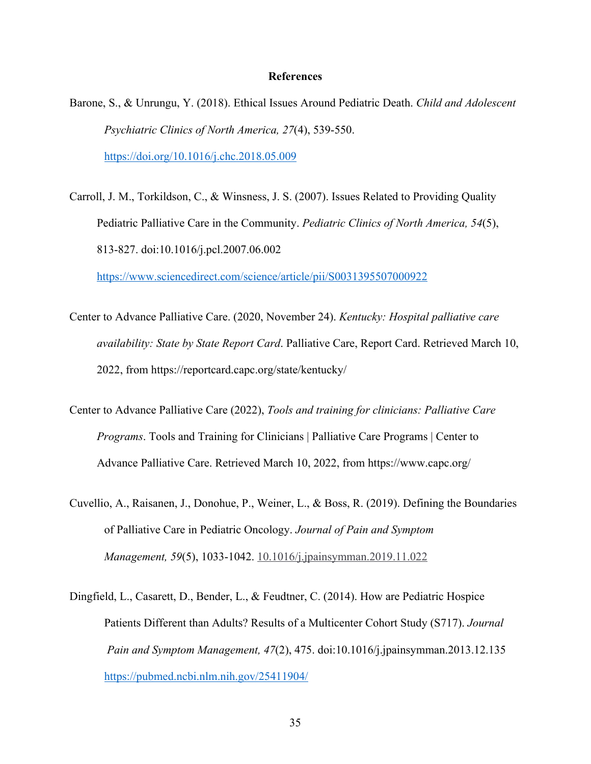#### **References**

- Barone, S., & Unrungu, Y. (2018). Ethical Issues Around Pediatric Death. *Child and Adolescent Psychiatric Clinics of North America, 27*(4), 539-550. https://doi.org/10.1016/j.chc.2018.05.009
- Carroll, J. M., Torkildson, C., & Winsness, J. S. (2007). Issues Related to Providing Quality Pediatric Palliative Care in the Community. *Pediatric Clinics of North America, 54*(5), 813-827. doi:10.1016/j.pcl.2007.06.002

https://www.sciencedirect.com/science/article/pii/S0031395507000922

- Center to Advance Palliative Care. (2020, November 24). *Kentucky: Hospital palliative care availability: State by State Report Card*. Palliative Care, Report Card. Retrieved March 10, 2022, from https://reportcard.capc.org/state/kentucky/
- Center to Advance Palliative Care (2022), *Tools and training for clinicians: Palliative Care Programs*. Tools and Training for Clinicians | Palliative Care Programs | Center to Advance Palliative Care. Retrieved March 10, 2022, from https://www.capc.org/
- Cuvellio, A., Raisanen, J., Donohue, P., Weiner, L., & Boss, R. (2019). Defining the Boundaries of Palliative Care in Pediatric Oncology. *Journal of Pain and Symptom Management, 59*(5), 1033-1042. 10.1016/j.jpainsymman.2019.11.022
- Dingfield, L., Casarett, D., Bender, L., & Feudtner, C. (2014). How are Pediatric Hospice Patients Different than Adults? Results of a Multicenter Cohort Study (S717). *Journal Pain and Symptom Management, 47*(2), 475. doi:10.1016/j.jpainsymman.2013.12.135 https://pubmed.ncbi.nlm.nih.gov/25411904/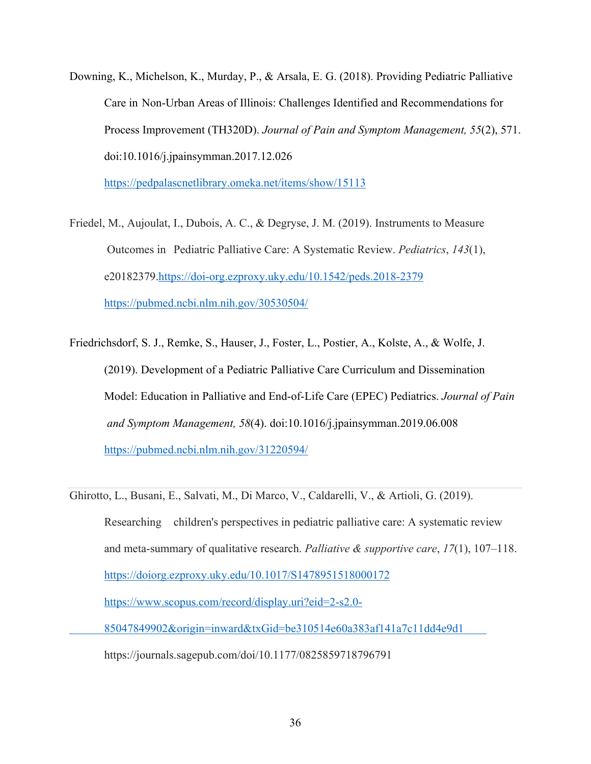Downing, K., Michelson, K., Murday, P., & Arsala, E. G. (2018). Providing Pediatric Palliative Care in Non-Urban Areas of Illinois: Challenges Identified and Recommendations for Process Improvement (TH320D). *Journal of Pain and Symptom Management, 55*(2), 571. doi:10.1016/j.jpainsymman.2017.12.026

https://pedpalascnetlibrary.omeka.net/items/show/15113

- Friedel, M., Aujoulat, I., Dubois, A. C., & Degryse, J. M. (2019). Instruments to Measure Outcomes in Pediatric Palliative Care: A Systematic Review. *Pediatrics*, *143*(1), e20182379.https://doi-org.ezproxy.uky.edu/10.1542/peds.2018-2379 https://pubmed.ncbi.nlm.nih.gov/30530504/
- Friedrichsdorf, S. J., Remke, S., Hauser, J., Foster, L., Postier, A., Kolste, A., & Wolfe, J. (2019). Development of a Pediatric Palliative Care Curriculum and Dissemination Model: Education in Palliative and End-of-Life Care (EPEC) Pediatrics. *Journal of Pain and Symptom Management, 58*(4). doi:10.1016/j.jpainsymman.2019.06.008 https://pubmed.ncbi.nlm.nih.gov/31220594/

Ghirotto, L., Busani, E., Salvati, M., Di Marco, V., Caldarelli, V., & Artioli, G. (2019).

Researching children's perspectives in pediatric palliative care: A systematic review and meta-summary of qualitative research. *Palliative & supportive care*, *17*(1), 107–118. https://doiorg.ezproxy.uky.edu/10.1017/S1478951518000172 https://www.scopus.com/record/display.uri?eid=2-s2.0-

85047849902&origin=inward&txGid=be310514e60a383af141a7c11dd4e9d1

https://journals.sagepub.com/doi/10.1177/0825859718796791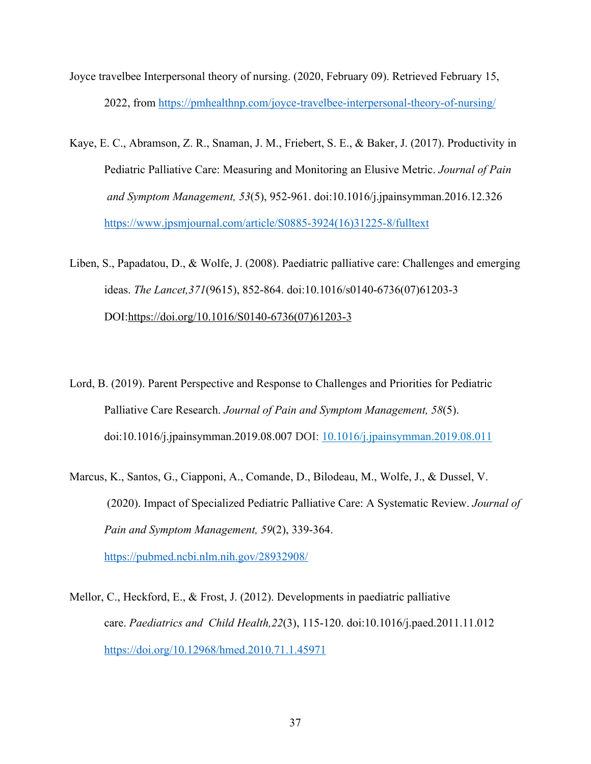- Joyce travelbee Interpersonal theory of nursing. (2020, February 09). Retrieved February 15, 2022, from https://pmhealthnp.com/joyce-travelbee-interpersonal-theory-of-nursing/
- Kaye, E. C., Abramson, Z. R., Snaman, J. M., Friebert, S. E., & Baker, J. (2017). Productivity in Pediatric Palliative Care: Measuring and Monitoring an Elusive Metric. *Journal of Pain and Symptom Management, 53*(5), 952-961. doi:10.1016/j.jpainsymman.2016.12.326 https://www.jpsmjournal.com/article/S0885-3924(16)31225-8/fulltext

Liben, S., Papadatou, D., & Wolfe, J. (2008). Paediatric palliative care: Challenges and emerging ideas. *The Lancet,371*(9615), 852-864. doi:10.1016/s0140-6736(07)61203-3 DOI:https://doi.org/10.1016/S0140-6736(07)61203-3

- Lord, B. (2019). Parent Perspective and Response to Challenges and Priorities for Pediatric Palliative Care Research. *Journal of Pain and Symptom Management, 58*(5). doi:10.1016/j.jpainsymman.2019.08.007 DOI: 10.1016/j.jpainsymman.2019.08.011
- Marcus, K., Santos, G., Ciapponi, A., Comande, D., Bilodeau, M., Wolfe, J., & Dussel, V. (2020). Impact of Specialized Pediatric Palliative Care: A Systematic Review. *Journal of Pain and Symptom Management, 59*(2), 339-364. https://pubmed.ncbi.nlm.nih.gov/28932908/
- Mellor, C., Heckford, E., & Frost, J. (2012). Developments in paediatric palliative care. *Paediatrics and Child Health,22*(3), 115-120. doi:10.1016/j.paed.2011.11.012 https://doi.org/10.12968/hmed.2010.71.1.45971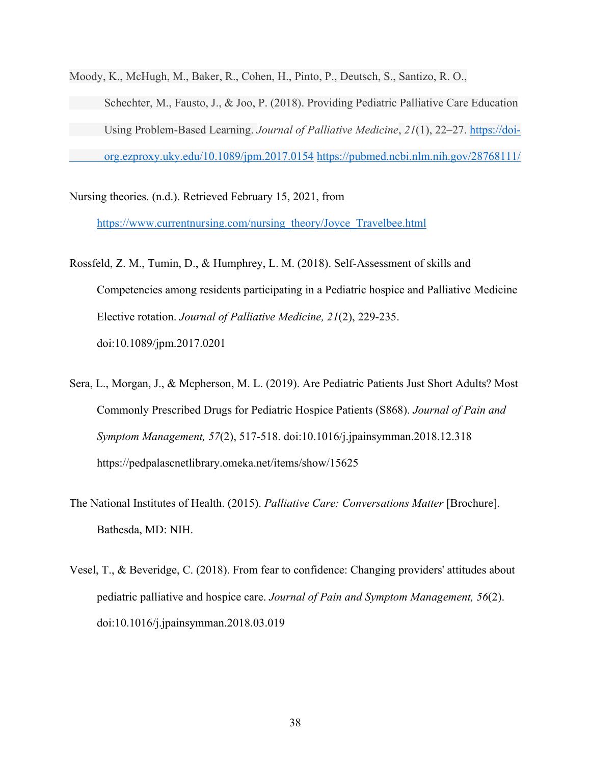Moody, K., McHugh, M., Baker, R., Cohen, H., Pinto, P., Deutsch, S., Santizo, R. O., Schechter, M., Fausto, J., & Joo, P. (2018). Providing Pediatric Palliative Care Education Using Problem-Based Learning. *Journal of Palliative Medicine*, *21*(1), 22–27. https://doiorg.ezproxy.uky.edu/10.1089/jpm.2017.0154 https://pubmed.ncbi.nlm.nih.gov/28768111/

Nursing theories. (n.d.). Retrieved February 15, 2021, from

https://www.currentnursing.com/nursing\_theory/Joyce\_Travelbee.html

- Rossfeld, Z. M., Tumin, D., & Humphrey, L. M. (2018). Self-Assessment of skills and Competencies among residents participating in a Pediatric hospice and Palliative Medicine Elective rotation. *Journal of Palliative Medicine, 21*(2), 229-235. doi:10.1089/jpm.2017.0201
- Sera, L., Morgan, J., & Mcpherson, M. L. (2019). Are Pediatric Patients Just Short Adults? Most Commonly Prescribed Drugs for Pediatric Hospice Patients (S868). *Journal of Pain and Symptom Management, 57*(2), 517-518. doi:10.1016/j.jpainsymman.2018.12.318 https://pedpalascnetlibrary.omeka.net/items/show/15625
- The National Institutes of Health. (2015). *Palliative Care: Conversations Matter* [Brochure]. Bathesda, MD: NIH.
- Vesel, T., & Beveridge, C. (2018). From fear to confidence: Changing providers' attitudes about pediatric palliative and hospice care. *Journal of Pain and Symptom Management, 56*(2). doi:10.1016/j.jpainsymman.2018.03.019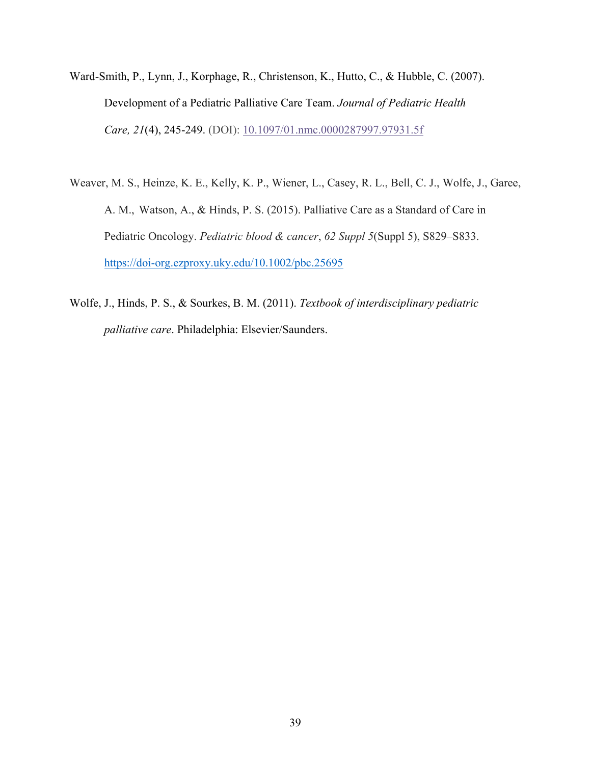- Ward-Smith, P., Lynn, J., Korphage, R., Christenson, K., Hutto, C., & Hubble, C. (2007). Development of a Pediatric Palliative Care Team. *Journal of Pediatric Health Care, 21*(4), 245-249. (DOI): 10.1097/01.nmc.0000287997.97931.5f
- Weaver, M. S., Heinze, K. E., Kelly, K. P., Wiener, L., Casey, R. L., Bell, C. J., Wolfe, J., Garee, A. M., Watson, A., & Hinds, P. S. (2015). Palliative Care as a Standard of Care in Pediatric Oncology. *Pediatric blood & cancer*, *62 Suppl 5*(Suppl 5), S829–S833. https://doi-org.ezproxy.uky.edu/10.1002/pbc.25695
- Wolfe, J., Hinds, P. S., & Sourkes, B. M. (2011). *Textbook of interdisciplinary pediatric palliative care*. Philadelphia: Elsevier/Saunders.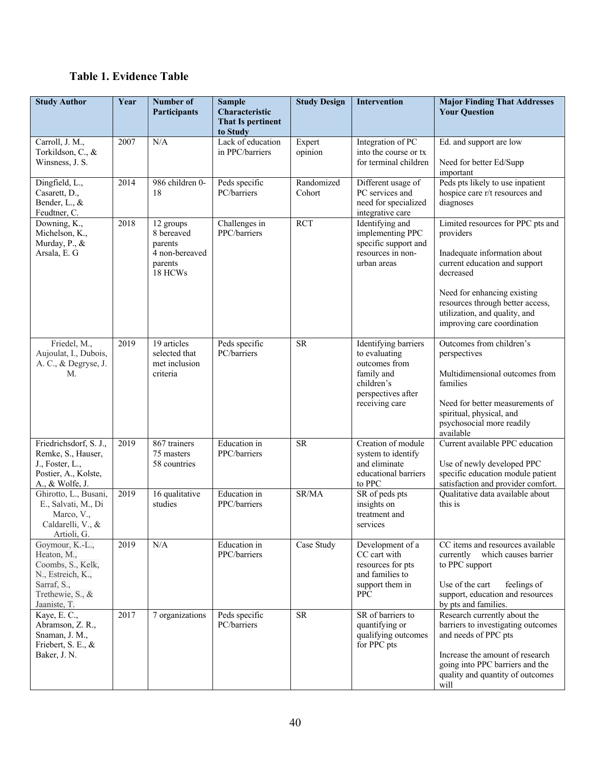# **Table 1. Evidence Table**

| <b>Study Author</b>                                                                                                         | Year | Number of<br>Participants                                                  | <b>Sample</b><br>Characteristic<br><b>That Is pertinent</b> | <b>Study Design</b>  | <b>Intervention</b>                                                                                                        | <b>Major Finding That Addresses</b><br><b>Your Question</b>                                                                                                                                                                                                     |
|-----------------------------------------------------------------------------------------------------------------------------|------|----------------------------------------------------------------------------|-------------------------------------------------------------|----------------------|----------------------------------------------------------------------------------------------------------------------------|-----------------------------------------------------------------------------------------------------------------------------------------------------------------------------------------------------------------------------------------------------------------|
|                                                                                                                             |      |                                                                            | to Study                                                    |                      |                                                                                                                            |                                                                                                                                                                                                                                                                 |
| Carroll, J. M.,<br>Torkildson, C., &<br>Winsness, J. S.                                                                     | 2007 | N/A                                                                        | Lack of education<br>in PPC/barriers                        | Expert<br>opinion    | Integration of PC<br>into the course or tx<br>for terminal children                                                        | Ed. and support are low<br>Need for better Ed/Supp<br>important                                                                                                                                                                                                 |
| Dingfield, L.,<br>Casarett, D.,<br>Bender, L., &<br>Feudtner, C.                                                            | 2014 | 986 children 0-<br>18                                                      | Peds specific<br>PC/barriers                                | Randomized<br>Cohort | Different usage of<br>PC services and<br>need for specialized<br>integrative care                                          | Peds pts likely to use inpatient<br>hospice care r/t resources and<br>diagnoses                                                                                                                                                                                 |
| Downing, K.,<br>Michelson, K.,<br>Murday, P., &<br>Arsala, E. G                                                             | 2018 | 12 groups<br>8 bereaved<br>parents<br>4 non-bereaved<br>parents<br>18 HCWs | Challenges in<br>PPC/barriers                               | <b>RCT</b>           | Identifying and<br>implementing PPC<br>specific support and<br>resources in non-<br>urban areas                            | Limited resources for PPC pts and<br>providers<br>Inadequate information about<br>current education and support<br>decreased<br>Need for enhancing existing<br>resources through better access,<br>utilization, and quality, and<br>improving care coordination |
| Friedel, M.,<br>Aujoulat, I., Dubois,<br>A. C., & Degryse, J.<br>M.                                                         | 2019 | 19 articles<br>selected that<br>met inclusion<br>criteria                  | Peds specific<br>PC/barriers                                | <b>SR</b>            | Identifying barriers<br>to evaluating<br>outcomes from<br>family and<br>children's<br>perspectives after<br>receiving care | Outcomes from children's<br>perspectives<br>Multidimensional outcomes from<br>families<br>Need for better measurements of<br>spiritual, physical, and<br>psychosocial more readily<br>available                                                                 |
| Friedrichsdorf, S. J.,<br>Remke, S., Hauser,<br>J., Foster, L.,<br>Postier, A., Kolste,<br>A., & Wolfe, J.                  | 2019 | 867 trainers<br>75 masters<br>58 countries                                 | Education in<br>PPC/barriers                                | <b>SR</b>            | Creation of module<br>system to identify<br>and eliminate<br>educational barriers<br>to PPC                                | Current available PPC education<br>Use of newly developed PPC<br>specific education module patient<br>satisfaction and provider comfort.                                                                                                                        |
| Ghirotto, L., Busani,<br>E., Salvati, M., Di<br>Marco, V.,<br>Caldarelli, V., &<br>Artioli, G.                              | 2019 | 16 qualitative<br>studies                                                  | Education in<br>PPC/barriers                                | SR/MA                | SR of peds pts<br>insights on<br>treatment and<br>services                                                                 | Qualitative data available about<br>this is                                                                                                                                                                                                                     |
| Goymour, K.-L.,<br>Heaton, M.,<br>Coombs, S., Kelk,<br>N., Estreich, K.,<br>Sarraf, S.,<br>Trethewie, S., &<br>Jaaniste, T. | 2019 | N/A                                                                        | Education in<br>PPC/barriers                                | Case Study           | Development of a<br>CC cart with<br>resources for pts<br>and families to<br>support them in<br><b>PPC</b>                  | CC items and resources available<br>which causes barrier<br>currently<br>to PPC support<br>Use of the cart<br>feelings of<br>support, education and resources<br>by pts and families.                                                                           |
| Kaye, E.C.,<br>Abramson, Z. R.,<br>Snaman, J. M.,<br>Friebert, S. E., &<br>Baker, J. N.                                     | 2017 | 7 organizations                                                            | Peds specific<br>PC/barriers                                | ${\sf SR}$           | SR of barriers to<br>quantifying or<br>qualifying outcomes<br>for PPC pts                                                  | Research currently about the<br>barriers to investigating outcomes<br>and needs of PPC pts<br>Increase the amount of research<br>going into PPC barriers and the<br>quality and quantity of outcomes<br>will                                                    |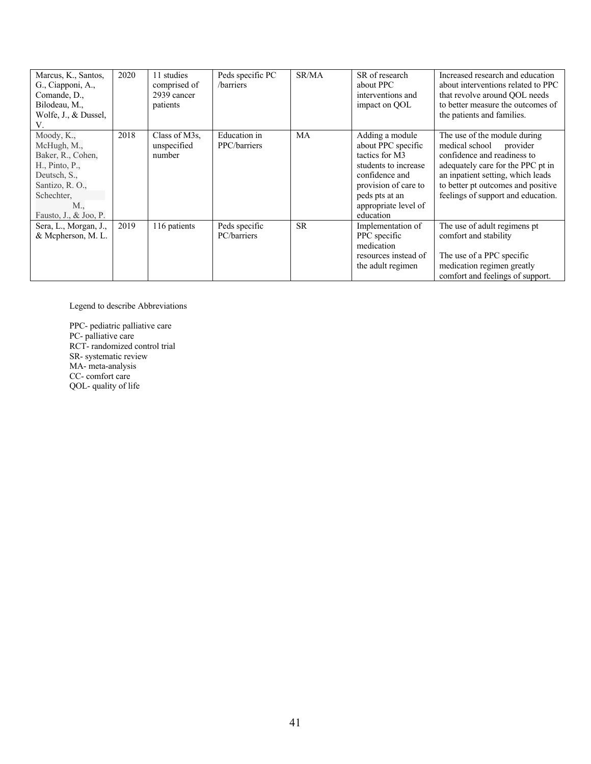| Marcus, K., Santos,<br>G., Ciapponi, A.,<br>Comande, D.,<br>Bilodeau, M.,<br>Wolfe, J., & Dussel,<br>V.                                           | 2020 | 11 studies<br>comprised of<br>2939 cancer<br>patients | Peds specific PC<br>/barriers | SR/MA     | SR of research<br>about PPC<br>interventions and<br>impact on QOL                                                                                                                | Increased research and education<br>about interventions related to PPC<br>that revolve around OOL needs<br>to better measure the outcomes of<br>the patients and families.                                                                      |
|---------------------------------------------------------------------------------------------------------------------------------------------------|------|-------------------------------------------------------|-------------------------------|-----------|----------------------------------------------------------------------------------------------------------------------------------------------------------------------------------|-------------------------------------------------------------------------------------------------------------------------------------------------------------------------------------------------------------------------------------------------|
| Moody, K.,<br>McHugh, M.,<br>Baker, R., Cohen,<br>H., Pinto, P.,<br>Deutsch, S.,<br>Santizo, R. O.,<br>Schechter,<br>M.,<br>Fausto, J., & Joo, P. | 2018 | Class of M3s,<br>unspecified<br>number                | Education in<br>PPC/barriers  | MA        | Adding a module<br>about PPC specific<br>tactics for M3<br>students to increase<br>confidence and<br>provision of care to<br>peds pts at an<br>appropriate level of<br>education | The use of the module during<br>medical school<br>provider<br>confidence and readiness to<br>adequately care for the PPC pt in<br>an inpatient setting, which leads<br>to better pt outcomes and positive<br>feelings of support and education. |
| Sera, L., Morgan, J.,<br>& Mcpherson, M. L.                                                                                                       | 2019 | 116 patients                                          | Peds specific<br>PC/barriers  | <b>SR</b> | Implementation of<br>PPC specific<br>medication<br>resources instead of<br>the adult regimen                                                                                     | The use of adult regimens pt<br>comfort and stability<br>The use of a PPC specific<br>medication regimen greatly<br>comfort and feelings of support.                                                                                            |

Legend to describe Abbreviations

PPC- pediatric palliative care PC- palliative care RCT- randomized control trial SR- systematic review MA- meta-analysis CC- comfort care QOL- quality of life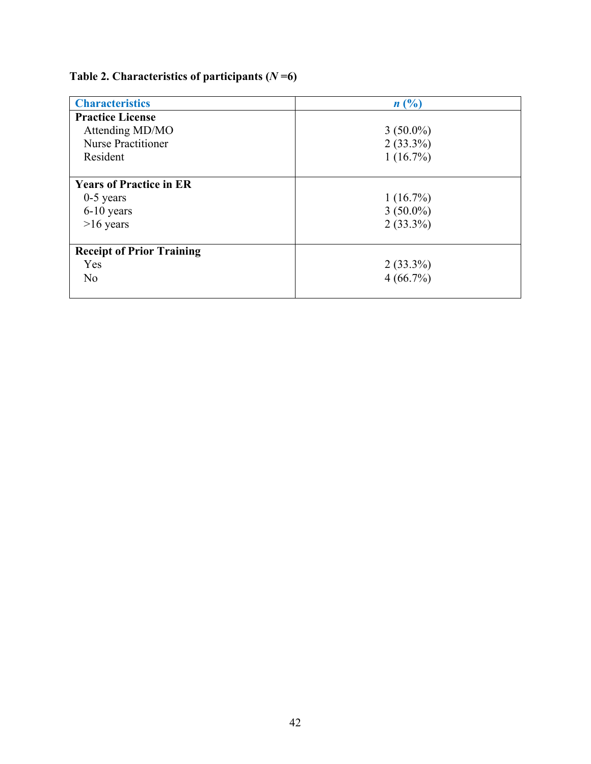# **Table 2. Characteristics of participants (***N* **=6)**

| <b>Characteristics</b>           | n(%)        |
|----------------------------------|-------------|
| <b>Practice License</b>          |             |
| Attending MD/MO                  | $3(50.0\%)$ |
| <b>Nurse Practitioner</b>        | $2(33.3\%)$ |
| Resident                         | $1(16.7\%)$ |
|                                  |             |
| <b>Years of Practice in ER</b>   |             |
| $0-5$ years                      | $1(16.7\%)$ |
| 6-10 years                       | $3(50.0\%)$ |
| $>16$ years                      | $2(33.3\%)$ |
|                                  |             |
| <b>Receipt of Prior Training</b> |             |
| Yes                              | $2(33.3\%)$ |
| N <sub>o</sub>                   | 4(66.7%)    |
|                                  |             |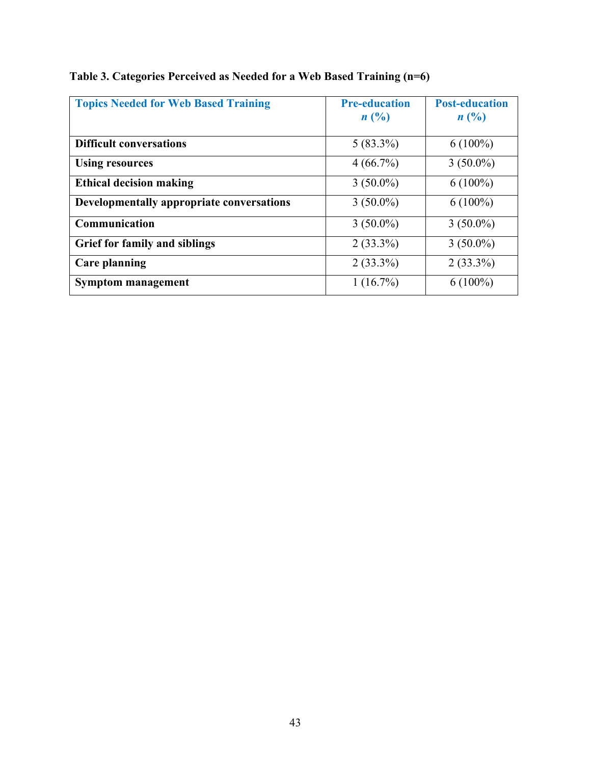| <b>Topics Needed for Web Based Training</b> | <b>Pre-education</b><br>$n(^{0}_{0})$ | <b>Post-education</b><br>$n(^{0}_{0})$ |
|---------------------------------------------|---------------------------------------|----------------------------------------|
| <b>Difficult conversations</b>              | $5(83.3\%)$                           | $6(100\%)$                             |
| <b>Using resources</b>                      | $4(66.7\%)$                           | $3(50.0\%)$                            |
| <b>Ethical decision making</b>              | $3(50.0\%)$                           | $6(100\%)$                             |
| Developmentally appropriate conversations   | $3(50.0\%)$                           | $6(100\%)$                             |
| Communication                               | $3(50.0\%)$                           | $3(50.0\%)$                            |
| <b>Grief for family and siblings</b>        | $2(33.3\%)$                           | $3(50.0\%)$                            |
| <b>Care planning</b>                        | $2(33.3\%)$                           | $2(33.3\%)$                            |
| <b>Symptom management</b>                   | $1(16.7\%)$                           | $6(100\%)$                             |

|  | Table 3. Categories Perceived as Needed for a Web Based Training (n=6) |  |
|--|------------------------------------------------------------------------|--|
|  |                                                                        |  |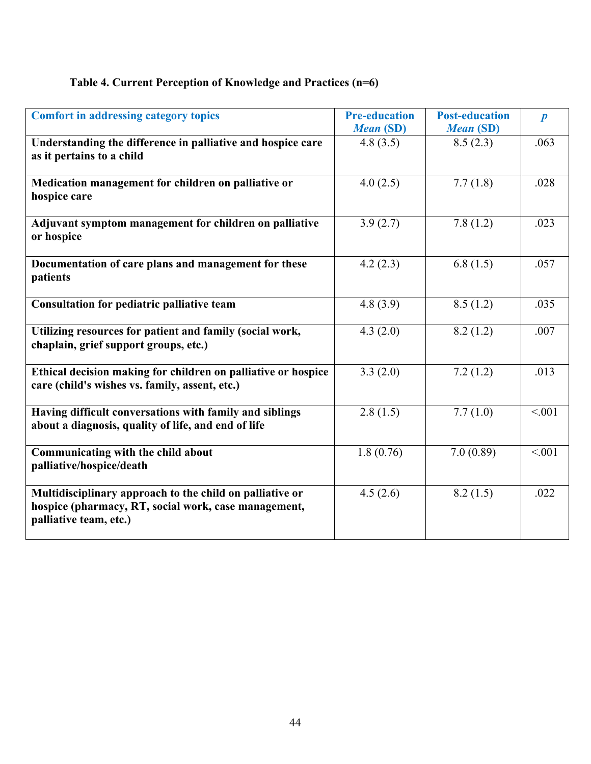# **Table 4. Current Perception of Knowledge and Practices (n=6)**

| <b>Comfort in addressing category topics</b>                                                                                               | <b>Pre-education</b><br><b>Mean (SD)</b> | <b>Post-education</b><br><b>Mean (SD)</b> | $\boldsymbol{p}$ |
|--------------------------------------------------------------------------------------------------------------------------------------------|------------------------------------------|-------------------------------------------|------------------|
| Understanding the difference in palliative and hospice care<br>as it pertains to a child                                                   | 4.8(3.5)                                 | 8.5(2.3)                                  | .063             |
| Medication management for children on palliative or<br>hospice care                                                                        | 4.0(2.5)                                 | 7.7(1.8)                                  | .028             |
| Adjuvant symptom management for children on palliative<br>or hospice                                                                       | 3.9(2.7)                                 | 7.8(1.2)                                  | .023             |
| Documentation of care plans and management for these<br>patients                                                                           | 4.2(2.3)                                 | 6.8(1.5)                                  | .057             |
| Consultation for pediatric palliative team                                                                                                 | 4.8(3.9)                                 | 8.5(1.2)                                  | .035             |
| Utilizing resources for patient and family (social work,<br>chaplain, grief support groups, etc.)                                          | 4.3(2.0)                                 | 8.2(1.2)                                  | .007             |
| Ethical decision making for children on palliative or hospice<br>care (child's wishes vs. family, assent, etc.)                            | 3.3(2.0)                                 | 7.2(1.2)                                  | .013             |
| Having difficult conversations with family and siblings<br>about a diagnosis, quality of life, and end of life                             | 2.8(1.5)                                 | 7.7(1.0)                                  | < .001           |
| Communicating with the child about<br>palliative/hospice/death                                                                             | 1.8(0.76)                                | 7.0(0.89)                                 | < .001           |
| Multidisciplinary approach to the child on palliative or<br>hospice (pharmacy, RT, social work, case management,<br>palliative team, etc.) | 4.5(2.6)                                 | 8.2(1.5)                                  | .022             |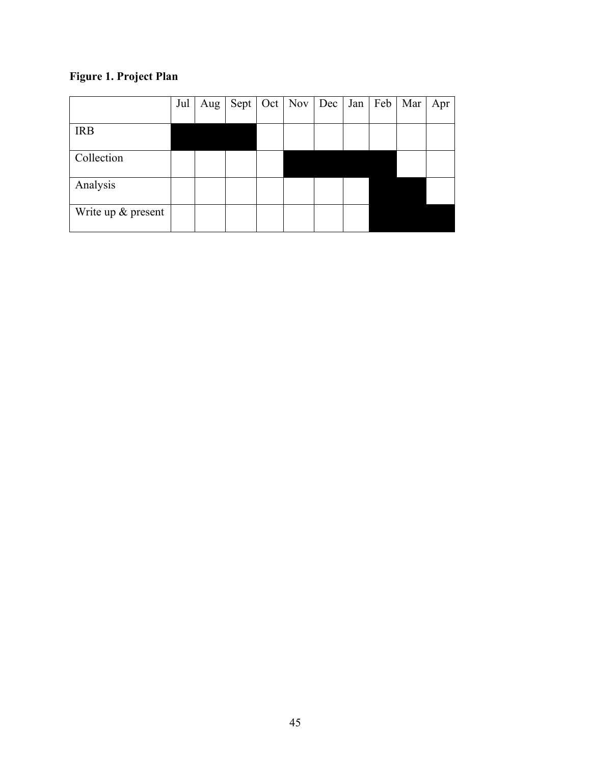# **Figure 1. Project Plan**

|                    | Jul | Aug |  | Sept   Oct   Nov   Dec | Jan | Feb | Mar | Apr |
|--------------------|-----|-----|--|------------------------|-----|-----|-----|-----|
| <b>IRB</b>         |     |     |  |                        |     |     |     |     |
| Collection         |     |     |  |                        |     |     |     |     |
| Analysis           |     |     |  |                        |     |     |     |     |
| Write up & present |     |     |  |                        |     |     |     |     |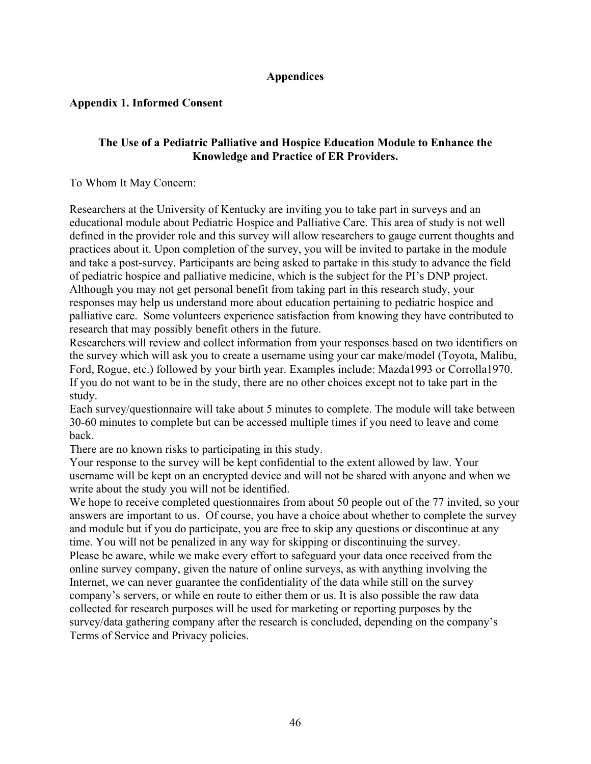## **Appendices**

## **Appendix 1. Informed Consent**

### **The Use of a Pediatric Palliative and Hospice Education Module to Enhance the Knowledge and Practice of ER Providers.**

### To Whom It May Concern:

Researchers at the University of Kentucky are inviting you to take part in surveys and an educational module about Pediatric Hospice and Palliative Care. This area of study is not well defined in the provider role and this survey will allow researchers to gauge current thoughts and practices about it. Upon completion of the survey, you will be invited to partake in the module and take a post-survey. Participants are being asked to partake in this study to advance the field of pediatric hospice and palliative medicine, which is the subject for the PI's DNP project. Although you may not get personal benefit from taking part in this research study, your responses may help us understand more about education pertaining to pediatric hospice and palliative care. Some volunteers experience satisfaction from knowing they have contributed to research that may possibly benefit others in the future.

Researchers will review and collect information from your responses based on two identifiers on the survey which will ask you to create a username using your car make/model (Toyota, Malibu, Ford, Rogue, etc.) followed by your birth year. Examples include: Mazda1993 or Corrolla1970. If you do not want to be in the study, there are no other choices except not to take part in the study.

Each survey/questionnaire will take about 5 minutes to complete. The module will take between 30-60 minutes to complete but can be accessed multiple times if you need to leave and come back.

There are no known risks to participating in this study.

Your response to the survey will be kept confidential to the extent allowed by law. Your username will be kept on an encrypted device and will not be shared with anyone and when we write about the study you will not be identified.

We hope to receive completed questionnaires from about 50 people out of the 77 invited, so your answers are important to us. Of course, you have a choice about whether to complete the survey and module but if you do participate, you are free to skip any questions or discontinue at any time. You will not be penalized in any way for skipping or discontinuing the survey. Please be aware, while we make every effort to safeguard your data once received from the online survey company, given the nature of online surveys, as with anything involving the Internet, we can never guarantee the confidentiality of the data while still on the survey company's servers, or while en route to either them or us. It is also possible the raw data collected for research purposes will be used for marketing or reporting purposes by the survey/data gathering company after the research is concluded, depending on the company's Terms of Service and Privacy policies.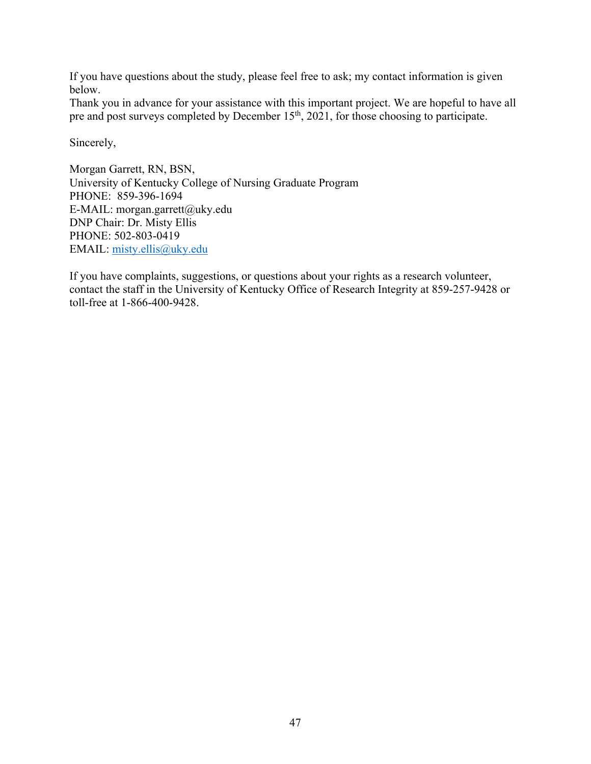If you have questions about the study, please feel free to ask; my contact information is given below.

Thank you in advance for your assistance with this important project. We are hopeful to have all pre and post surveys completed by December 15<sup>th</sup>, 2021, for those choosing to participate.

Sincerely,

Morgan Garrett, RN, BSN, University of Kentucky College of Nursing Graduate Program PHONE: 859-396-1694 E-MAIL: morgan.garrett@uky.edu DNP Chair: Dr. Misty Ellis PHONE: 502-803-0419 EMAIL: misty.ellis@uky.edu

If you have complaints, suggestions, or questions about your rights as a research volunteer, contact the staff in the University of Kentucky Office of Research Integrity at 859-257-9428 or toll-free at 1-866-400-9428.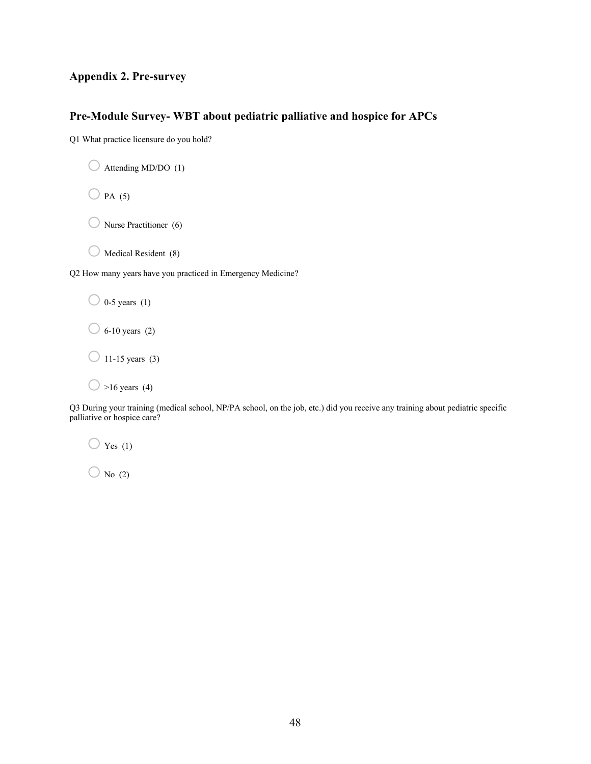### **Appendix 2. Pre-survey**

### **Pre-Module Survey- WBT about pediatric palliative and hospice for APCs**

Q1 What practice licensure do you hold?

```
\bigcirc Attending MD/DO (1)
```
 $O$  PA (5)

 $\bigcirc$  Nurse Practitioner (6)

 $\bigcirc$  Medical Resident (8)

Q2 How many years have you practiced in Emergency Medicine?

 $\bigcirc$  0-5 years (1)

 $\bigcirc$  6-10 years (2)

 $\bigcirc$  11-15 years (3)

 $\bigcirc$  >16 years (4)

Q3 During your training (medical school, NP/PA school, on the job, etc.) did you receive any training about pediatric specific palliative or hospice care?

 $\bigcirc$  Yes (1)

 $\bigcirc$  No (2)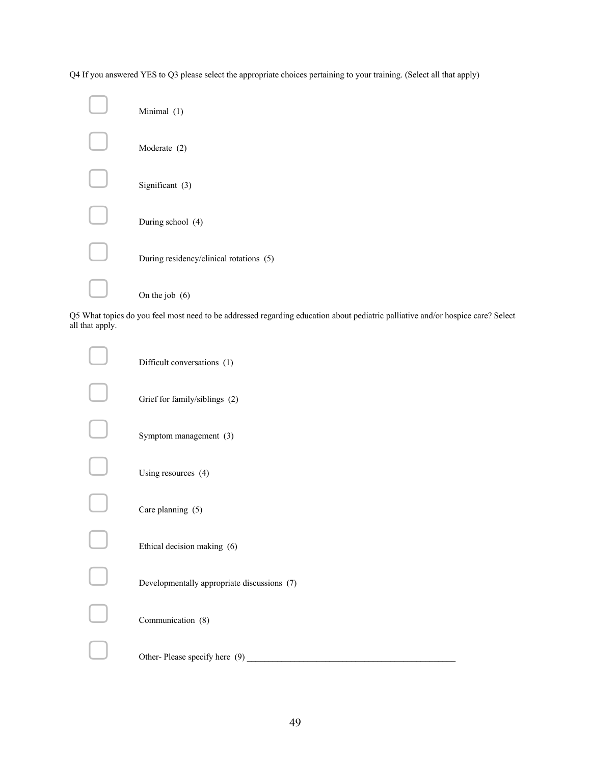Q4 If you answered YES to Q3 please select the appropriate choices pertaining to your training. (Select all that apply)

| Minimal (1)                             |
|-----------------------------------------|
| Moderate (2)                            |
| Significant (3)                         |
| During school (4)                       |
| During residency/clinical rotations (5) |
| On the job $(6)$                        |

Q5 What topics do you feel most need to be addressed regarding education about pediatric palliative and/or hospice care? Select all that apply.

| Difficult conversations (1)                 |
|---------------------------------------------|
| Grief for family/siblings (2)               |
| Symptom management (3)                      |
| Using resources (4)                         |
| Care planning (5)                           |
| Ethical decision making (6)                 |
| Developmentally appropriate discussions (7) |
| Communication (8)                           |
| Other-Please specify here $(9)$             |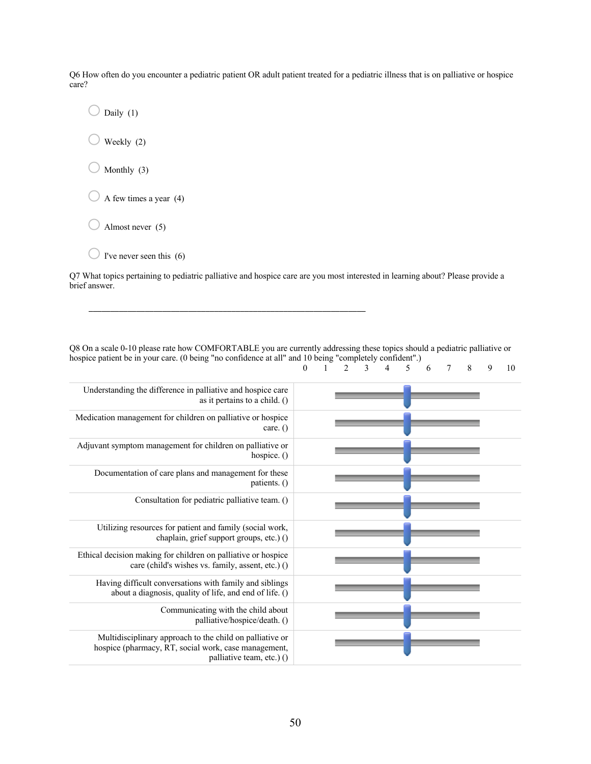Q6 How often do you encounter a pediatric patient OR adult patient treated for a pediatric illness that is on palliative or hospice care?

 $\bigcirc$  Daily (1)  $\bigcirc$  Weekly (2)  $\bigcirc$  Monthly (3)  $\bigcirc$  A few times a year (4)  $\bigcirc$  Almost never (5)

 $\bigcirc$  I've never seen this (6)

Q7 What topics pertaining to pediatric palliative and hospice care are you most interested in learning about? Please provide a brief answer.

\_\_\_\_\_\_\_\_\_\_\_\_\_\_\_\_\_\_\_\_\_\_\_\_\_\_\_\_\_\_\_\_\_\_\_\_\_\_\_\_\_\_\_\_\_\_\_\_\_\_\_\_\_\_\_\_\_\_\_\_\_\_\_\_

Q8 On a scale 0-10 please rate how COMFORTABLE you are currently addressing these topics should a pediatric palliative or hospice patient be in your care. (0 being "no confidence at all" and 10 being "completely confident".)<br>  $0 \t 1 \t 2 \t 3 \t 4 \t 5$ 0 1 2 3 4 5 6 7 8 9 10

| Understanding the difference in palliative and hospice care<br>as it pertains to a child. $()$                                                |
|-----------------------------------------------------------------------------------------------------------------------------------------------|
| Medication management for children on palliative or hospice<br>care. $()$                                                                     |
| Adjuvant symptom management for children on palliative or<br>hospice. $()$                                                                    |
| Documentation of care plans and management for these<br>patients. $()$                                                                        |
| Consultation for pediatric palliative team. ()                                                                                                |
| Utilizing resources for patient and family (social work,<br>chaplain, grief support groups, etc.) ()                                          |
| Ethical decision making for children on palliative or hospice<br>care (child's wishes vs. family, assent, etc.) ()                            |
| Having difficult conversations with family and siblings<br>about a diagnosis, quality of life, and end of life. ()                            |
| Communicating with the child about<br>palliative/hospice/death. ()                                                                            |
| Multidisciplinary approach to the child on palliative or<br>hospice (pharmacy, RT, social work, case management,<br>palliative team, etc.) () |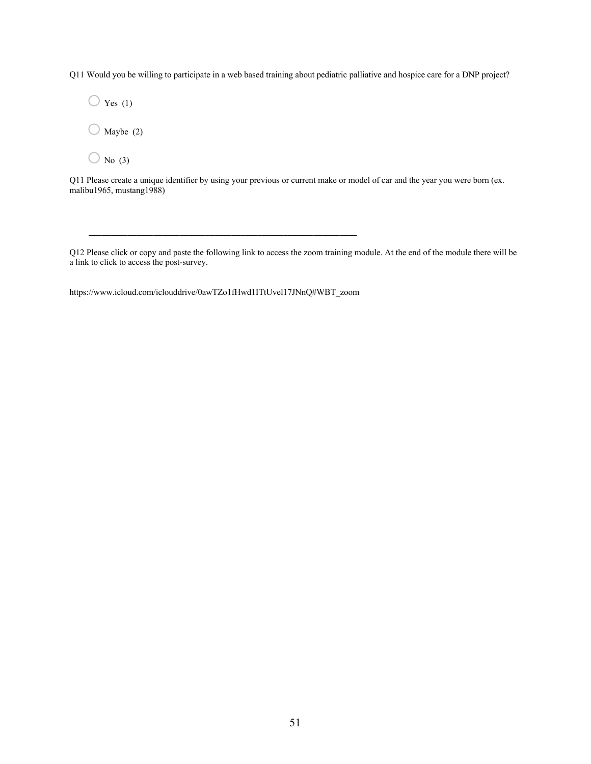Q11 Would you be willing to participate in a web based training about pediatric palliative and hospice care for a DNP project?

 $\bigcirc$  Yes (1)  $\bigcirc$  Maybe (2)

 $\bigcirc$  No (3)

Q11 Please create a unique identifier by using your previous or current make or model of car and the year you were born (ex. malibu1965, mustang1988)

Q12 Please click or copy and paste the following link to access the zoom training module. At the end of the module there will be a link to click to access the post-survey.

https://www.icloud.com/iclouddrive/0awTZo1fHwd1ITtUvel17JNnQ#WBT\_zoom

\_\_\_\_\_\_\_\_\_\_\_\_\_\_\_\_\_\_\_\_\_\_\_\_\_\_\_\_\_\_\_\_\_\_\_\_\_\_\_\_\_\_\_\_\_\_\_\_\_\_\_\_\_\_\_\_\_\_\_\_\_\_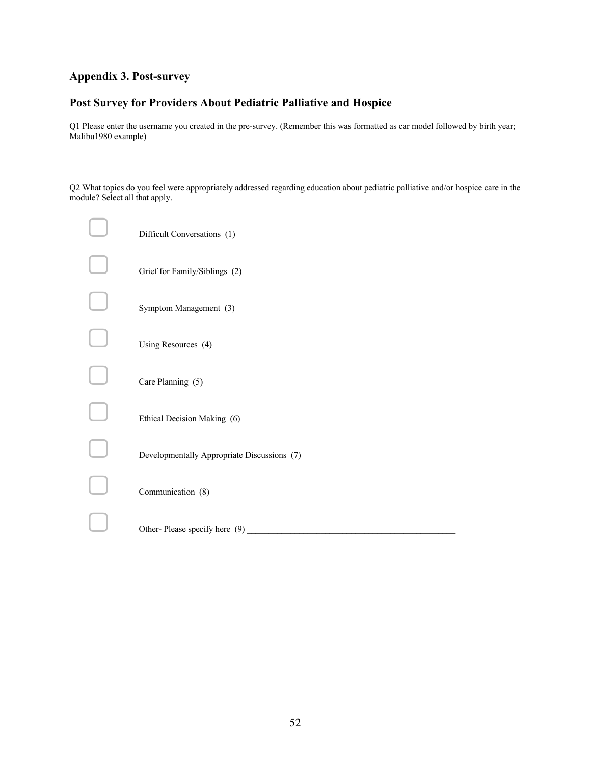## **Appendix 3. Post-survey**

# **Post Survey for Providers About Pediatric Palliative and Hospice**

Q1 Please enter the username you created in the pre-survey. (Remember this was formatted as car model followed by birth year; Malibu1980 example)

Q2 What topics do you feel were appropriately addressed regarding education about pediatric palliative and/or hospice care in the module? Select all that apply.

| Difficult Conversations (1)                 |
|---------------------------------------------|
| Grief for Family/Siblings (2)               |
| Symptom Management (3)                      |
| Using Resources (4)                         |
| Care Planning (5)                           |
| Ethical Decision Making (6)                 |
| Developmentally Appropriate Discussions (7) |
| Communication (8)                           |
| Other-Please specify here $(9)$             |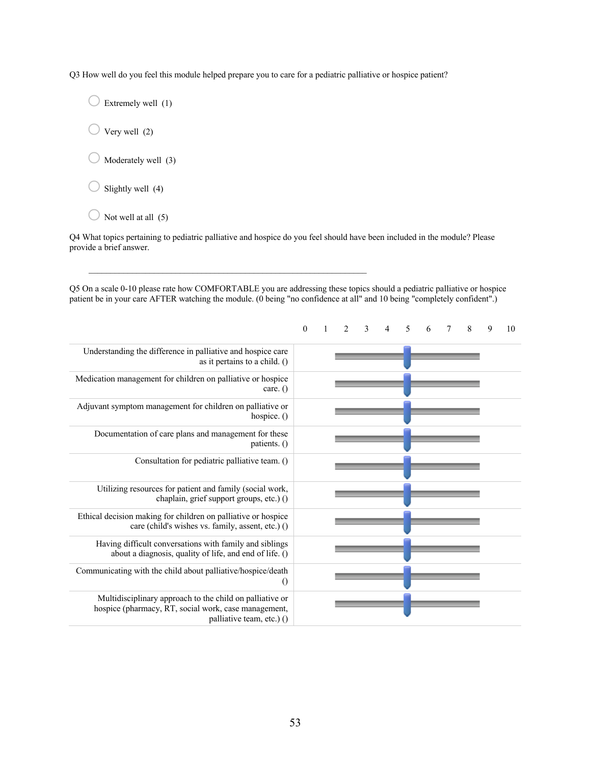Q3 How well do you feel this module helped prepare you to care for a pediatric palliative or hospice patient?

 $\bigcirc$  Extremely well (1)

 $\bigcirc$  Very well (2)

 $\bigcirc$  Moderately well (3)

 $\bigcirc$  Slightly well (4)

 $\bigcirc$  Not well at all (5)

Q4 What topics pertaining to pediatric palliative and hospice do you feel should have been included in the module? Please provide a brief answer.

Q5 On a scale 0-10 please rate how COMFORTABLE you are addressing these topics should a pediatric palliative or hospice patient be in your care AFTER watching the module. (0 being "no confidence at all" and 10 being "completely confident".)

|                                                                                                                                               | $\mathbf{0}$ | $\mathfrak{D}$ | 3 | 4 | $\overline{\phantom{0}}$ | 6 | 7 | 8 | 9 | 10 |
|-----------------------------------------------------------------------------------------------------------------------------------------------|--------------|----------------|---|---|--------------------------|---|---|---|---|----|
| Understanding the difference in palliative and hospice care<br>as it pertains to a child. $()$                                                |              |                |   |   |                          |   |   |   |   |    |
| Medication management for children on palliative or hospice<br>care. $()$                                                                     |              |                |   |   |                          |   |   |   |   |    |
| Adjuvant symptom management for children on palliative or<br>hospice. $()$                                                                    |              |                |   |   |                          |   |   |   |   |    |
| Documentation of care plans and management for these<br>patients. $()$                                                                        |              |                |   |   |                          |   |   |   |   |    |
| Consultation for pediatric palliative team. ()                                                                                                |              |                |   |   |                          |   |   |   |   |    |
| Utilizing resources for patient and family (social work,<br>chaplain, grief support groups, etc.) ()                                          |              |                |   |   |                          |   |   |   |   |    |
| Ethical decision making for children on palliative or hospice<br>care (child's wishes vs. family, assent, etc.) ()                            |              |                |   |   |                          |   |   |   |   |    |
| Having difficult conversations with family and siblings<br>about a diagnosis, quality of life, and end of life. ()                            |              |                |   |   |                          |   |   |   |   |    |
| Communicating with the child about palliative/hospice/death<br>$\left( \right)$                                                               |              |                |   |   |                          |   |   |   |   |    |
| Multidisciplinary approach to the child on palliative or<br>hospice (pharmacy, RT, social work, case management,<br>palliative team, etc.) () |              |                |   |   |                          |   |   |   |   |    |